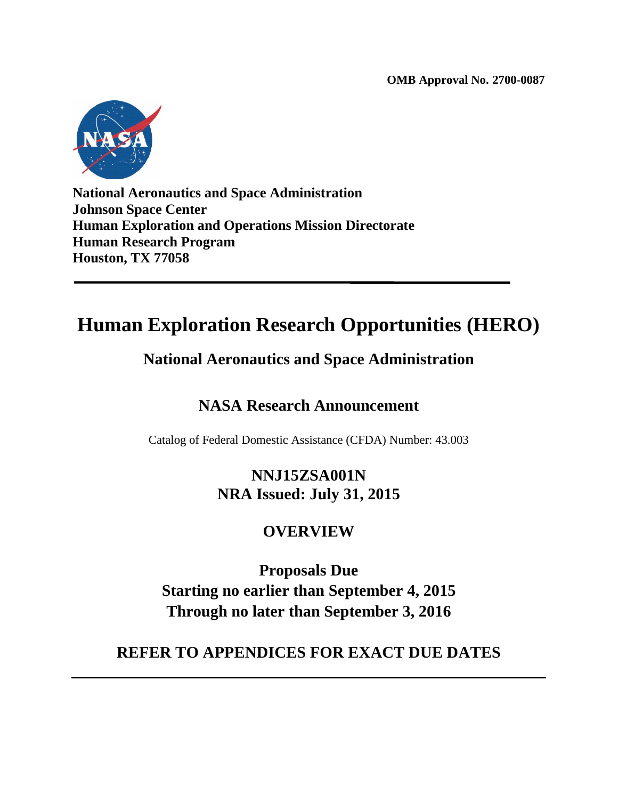**OMB Approval No. 2700-0087**



**National Aeronautics and Space Administration Johnson Space Center Human Exploration and Operations Mission Directorate Human Research Program Houston, TX 77058**

# **Human Exploration Research Opportunities (HERO)**

## **National Aeronautics and Space Administration**

## **NASA Research Announcement**

Catalog of Federal Domestic Assistance (CFDA) Number: 43.003

## **NNJ15ZSA001N NRA Issued: July 31, 2015**

## **OVERVIEW**

**Proposals Due Starting no earlier than September 4, 2015 Through no later than September 3, 2016**

## **REFER TO APPENDICES FOR EXACT DUE DATES**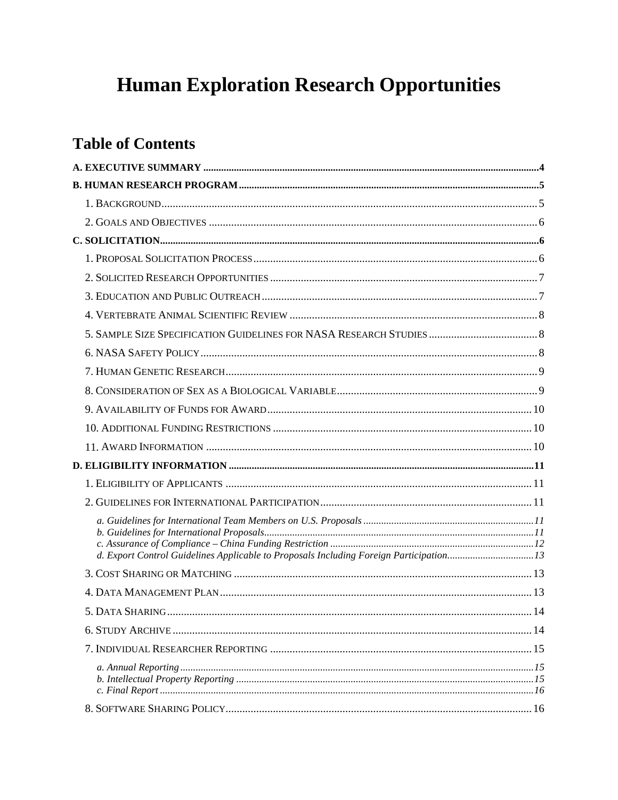# **Human Exploration Research Opportunities**

## **Table of Contents**

| d. Export Control Guidelines Applicable to Proposals Including Foreign Participation13 |     |
|----------------------------------------------------------------------------------------|-----|
|                                                                                        |     |
|                                                                                        |     |
| 5. DATA SHARING                                                                        | .14 |
|                                                                                        |     |
|                                                                                        |     |
|                                                                                        |     |
|                                                                                        |     |
|                                                                                        |     |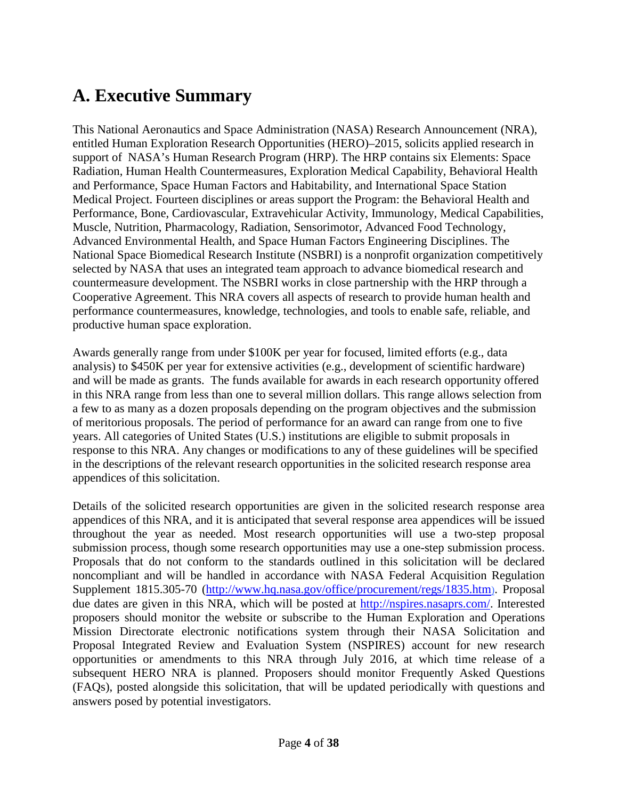## <span id="page-3-0"></span>**A. Executive Summary**

This National Aeronautics and Space Administration (NASA) Research Announcement (NRA), entitled Human Exploration Research Opportunities (HERO)–2015, solicits applied research in support of NASA's Human Research Program (HRP). The HRP contains six Elements: Space Radiation, Human Health Countermeasures, Exploration Medical Capability, Behavioral Health and Performance, Space Human Factors and Habitability, and International Space Station Medical Project. Fourteen disciplines or areas support the Program: the Behavioral Health and Performance, Bone, Cardiovascular, Extravehicular Activity, Immunology, Medical Capabilities, Muscle, Nutrition, Pharmacology, Radiation, Sensorimotor, Advanced Food Technology, Advanced Environmental Health, and Space Human Factors Engineering Disciplines. The National Space Biomedical Research Institute (NSBRI) is a nonprofit organization competitively selected by NASA that uses an integrated team approach to advance biomedical research and countermeasure development. The NSBRI works in close partnership with the HRP through a Cooperative Agreement. This NRA covers all aspects of research to provide human health and performance countermeasures, knowledge, technologies, and tools to enable safe, reliable, and productive human space exploration.

Awards generally range from under \$100K per year for focused, limited efforts (e.g., data analysis) to \$450K per year for extensive activities (e.g., development of scientific hardware) and will be made as grants. The funds available for awards in each research opportunity offered in this NRA range from less than one to several million dollars. This range allows selection from a few to as many as a dozen proposals depending on the program objectives and the submission of meritorious proposals. The period of performance for an award can range from one to five years. All categories of United States (U.S.) institutions are eligible to submit proposals in response to this NRA. Any changes or modifications to any of these guidelines will be specified in the descriptions of the relevant research opportunities in the solicited research response area appendices of this solicitation.

Details of the solicited research opportunities are given in the solicited research response area appendices of this NRA, and it is anticipated that several response area appendices will be issued throughout the year as needed. Most research opportunities will use a two-step proposal submission process, though some research opportunities may use a one-step submission process. Proposals that do not conform to the standards outlined in this solicitation will be declared noncompliant and will be handled in accordance with NASA Federal Acquisition Regulation Supplement 1815.305-70 [\(http://www.hq.nasa.gov/office/procurement/regs/1835.htm\)](http://www.hq.nasa.gov/office/procurement/regs/1835.htm). Proposal due dates are given in this NRA, which will be posted at [http://nspires.nasaprs.com/.](http://nspires.nasaprs.com/) Interested proposers should monitor [the](http://nspires.nasaprs.com/) website or subscribe to the Human Exploration and Operations Mission Directorate electronic notifications system through their NASA Solicitation and Proposal Integrated Review and Evaluation System (NSPIRES) account for new research opportunities or amendments to this NRA through July 2016, at which time release of a subsequent HERO NRA is planned. Proposers should monitor Frequently Asked Questions (FAQs), posted alongside this solicitation, that will be updated periodically with questions and answers posed by potential investigators.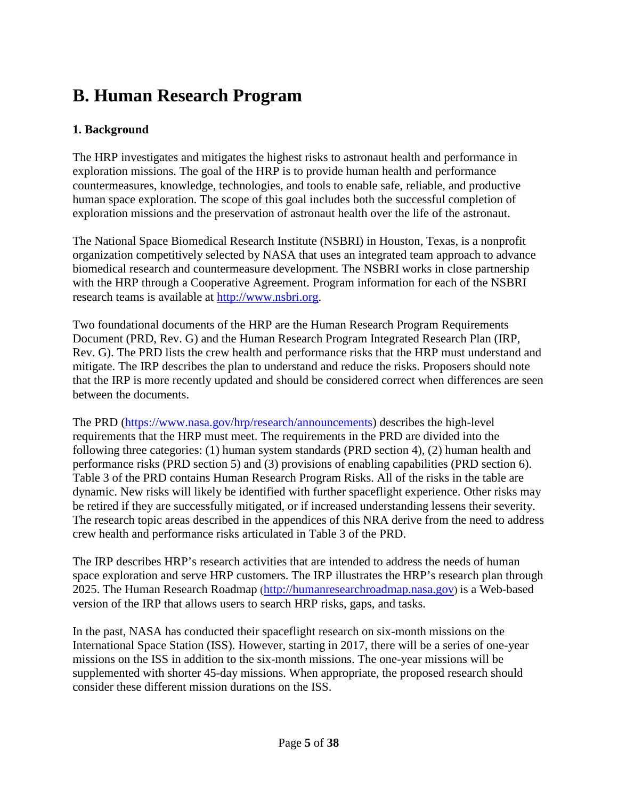# <span id="page-4-0"></span>**B. Human Research Program**

#### <span id="page-4-1"></span>**1. Background**

The HRP investigates and mitigates the highest risks to astronaut health and performance in exploration missions. The goal of the HRP is to provide human health and performance countermeasures, knowledge, technologies, and tools to enable safe, reliable, and productive human space exploration. The scope of this goal includes both the successful completion of exploration missions and the preservation of astronaut health over the life of the astronaut.

The National Space Biomedical Research Institute (NSBRI) in Houston, Texas, is a nonprofit organization competitively selected by NASA that uses an integrated team approach to advance biomedical research and countermeasure development. The NSBRI works in close partnership with the HRP through a Cooperative Agreement. Program information for each of the NSBRI research teams is available at [http://www.nsbri.org.](http://www.nsbri.org/)

Two foundational documents of the HRP are the Human Research Program Requirements Document (PRD, Rev. G) and the Human Research Program Integrated Research Plan (IRP, Rev. G). The PRD lists the crew health and performance risks that the HRP must understand and mitigate. The IRP describes the plan to understand and reduce the risks. Proposers should note that the IRP is more recently updated and should be considered correct when differences are seen between the documents.

The PRD [\(https://www.nasa.gov/hrp/research/announcements\)](https://www.nasa.gov/hrp/research/announcements) describes the high-level requirements that the HRP must meet. The requirements in the PRD are divided into the following three categories: (1) human system standards (PRD section 4), (2) human health and performance risks (PRD section 5) and (3) provisions of enabling capabilities (PRD section 6). Table 3 of the PRD contains Human Research Program Risks. All of the risks in the table are dynamic. New risks will likely be identified with further spaceflight experience. Other risks may be retired if they are successfully mitigated, or if increased understanding lessens their severity. The research topic areas described in the appendices of this NRA derive from the need to address crew health and performance risks articulated in Table 3 of the PRD.

The IRP describes HRP's research activities that are intended to address the needs of human space exploration and serve HRP customers. The IRP illustrates the HRP's research plan through 2025. The Human Research Roadmap [\(http://humanresearchroadmap.nasa.gov\)](http://humanresearchroadmap.nasa.gov/) is a Web-based version of the IRP that allows users to search HRP risks, gaps, and tasks.

<span id="page-4-2"></span>In the past, NASA has conducted their spaceflight research on six-month missions on the International Space Station (ISS). However, starting in 2017, there will be a series of one-year missions on the ISS in addition to the six-month missions. The one-year missions will be supplemented with shorter 45-day missions. When appropriate, the proposed research should consider these different mission durations on the ISS.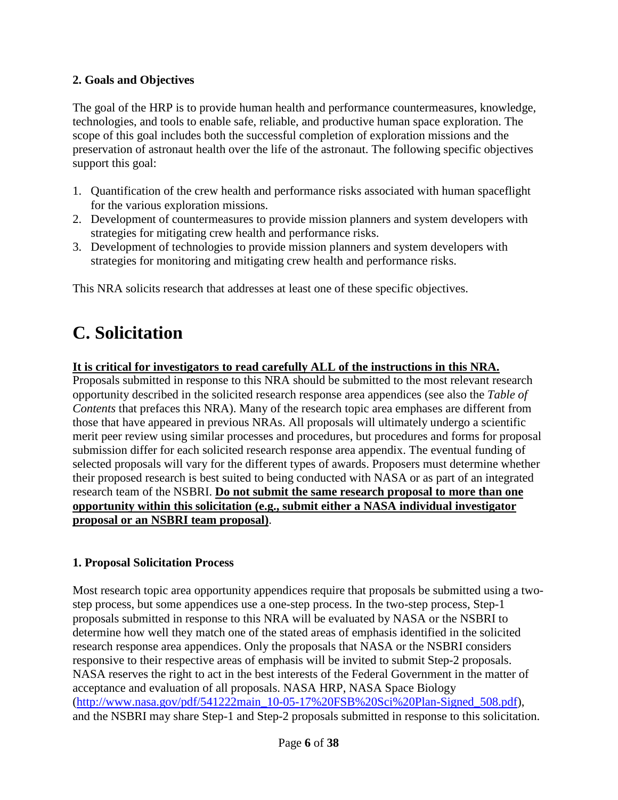#### **2. Goals and Objectives**

The goal of the HRP is to provide human health and performance countermeasures, knowledge, technologies, and tools to enable safe, reliable, and productive human space exploration. The scope of this goal includes both the successful completion of exploration missions and the preservation of astronaut health over the life of the astronaut. The following specific objectives support this goal:

- 1. Quantification of the crew health and performance risks associated with human spaceflight for the various exploration missions.
- 2. Development of countermeasures to provide mission planners and system developers with strategies for mitigating crew health and performance risks.
- 3. Development of technologies to provide mission planners and system developers with strategies for monitoring and mitigating crew health and performance risks.

This NRA solicits research that addresses at least one of these specific objectives.

# <span id="page-5-0"></span>**C. Solicitation**

#### **It is critical for investigators to read carefully ALL of the instructions in this NRA.**

Proposals submitted in response to this NRA should be submitted to the most relevant research opportunity described in the solicited research response area appendices (see also the *Table of Contents* that prefaces this NRA). Many of the research topic area emphases are different from those that have appeared in previous NRAs. All proposals will ultimately undergo a scientific merit peer review using similar processes and procedures, but procedures and forms for proposal submission differ for each solicited research response area appendix. The eventual funding of selected proposals will vary for the different types of awards. Proposers must determine whether their proposed research is best suited to being conducted with NASA or as part of an integrated research team of the NSBRI. **Do not submit the same research proposal to more than one opportunity within this solicitation (e.g., submit either a NASA individual investigator proposal or an NSBRI team proposal)**.

#### <span id="page-5-1"></span>**1. Proposal Solicitation Process**

Most research topic area opportunity appendices require that proposals be submitted using a twostep process, but some appendices use a one-step process. In the two-step process, Step-1 proposals submitted in response to this NRA will be evaluated by NASA or the NSBRI to determine how well they match one of the stated areas of emphasis identified in the solicited research response area appendices. Only the proposals that NASA or the NSBRI considers responsive to their respective areas of emphasis will be invited to submit Step-2 proposals. NASA reserves the right to act in the best interests of the Federal Government in the matter of acceptance and evaluation of all proposals. NASA HRP, NASA Space Biology [\(http://www.nasa.gov/pdf/541222main\\_10-05-17%20FSB%20Sci%20Plan-Signed\\_508.pdf\)](http://www.nasa.gov/pdf/541222main_10-05-17%20FSB%20Sci%20Plan-Signed_508.pdf), and the NSBRI may share Step-1 and Step-2 proposals submitted in response to this solicitation.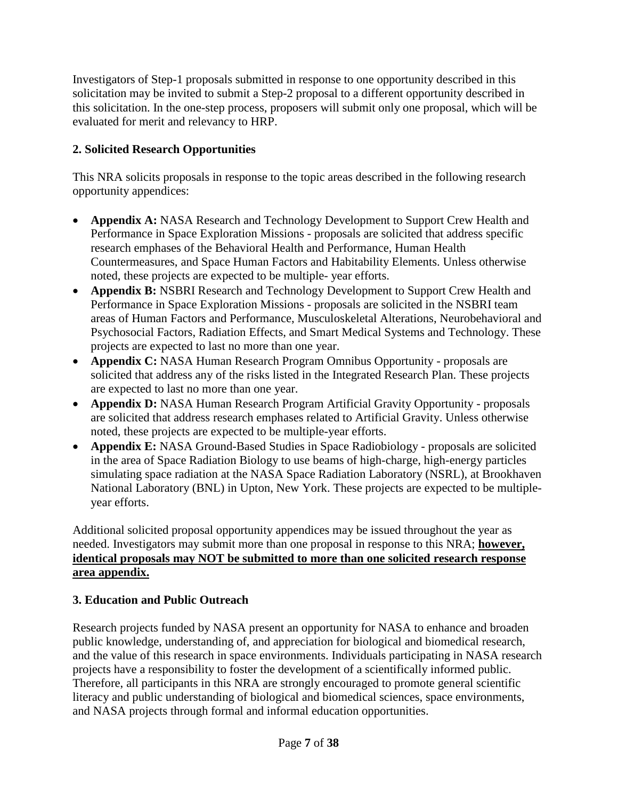Investigators of Step-1 proposals submitted in response to one opportunity described in this solicitation may be invited to submit a Step-2 proposal to a different opportunity described in this solicitation. In the one-step process, proposers will submit only one proposal, which will be evaluated for merit and relevancy to HRP.

## <span id="page-6-0"></span>**2. Solicited Research Opportunities**

This NRA solicits proposals in response to the topic areas described in the following research opportunity appendices:

- **Appendix A:** NASA Research and Technology Development to Support Crew Health and Performance in Space Exploration Missions - proposals are solicited that address specific research emphases of the Behavioral Health and Performance, Human Health Countermeasures, and Space Human Factors and Habitability Elements. Unless otherwise noted, these projects are expected to be multiple- year efforts.
- **Appendix B:** NSBRI Research and Technology Development to Support Crew Health and Performance in Space Exploration Missions - proposals are solicited in the NSBRI team areas of Human Factors and Performance, Musculoskeletal Alterations, Neurobehavioral and Psychosocial Factors, Radiation Effects, and Smart Medical Systems and Technology. These projects are expected to last no more than one year.
- **Appendix C:** NASA Human Research Program Omnibus Opportunity proposals are solicited that address any of the risks listed in the Integrated Research Plan. These projects are expected to last no more than one year.
- **Appendix D:** NASA Human Research Program Artificial Gravity Opportunity proposals are solicited that address research emphases related to Artificial Gravity. Unless otherwise noted, these projects are expected to be multiple-year efforts.
- **Appendix E:** NASA Ground-Based Studies in Space Radiobiology proposals are solicited in the area of Space Radiation Biology to use beams of high-charge, high-energy particles simulating space radiation at the NASA Space Radiation Laboratory (NSRL), at Brookhaven National Laboratory (BNL) in Upton, New York. These projects are expected to be multipleyear efforts.

Additional solicited proposal opportunity appendices may be issued throughout the year as needed. Investigators may submit more than one proposal in response to this NRA; **however, identical proposals may NOT be submitted to more than one solicited research response area appendix.**

## <span id="page-6-1"></span>**3. Education and Public Outreach**

Research projects funded by NASA present an opportunity for NASA to enhance and broaden public knowledge, understanding of, and appreciation for biological and biomedical research, and the value of this research in space environments. Individuals participating in NASA research projects have a responsibility to foster the development of a scientifically informed public. Therefore, all participants in this NRA are strongly encouraged to promote general scientific literacy and public understanding of biological and biomedical sciences, space environments, and NASA projects through formal and informal education opportunities.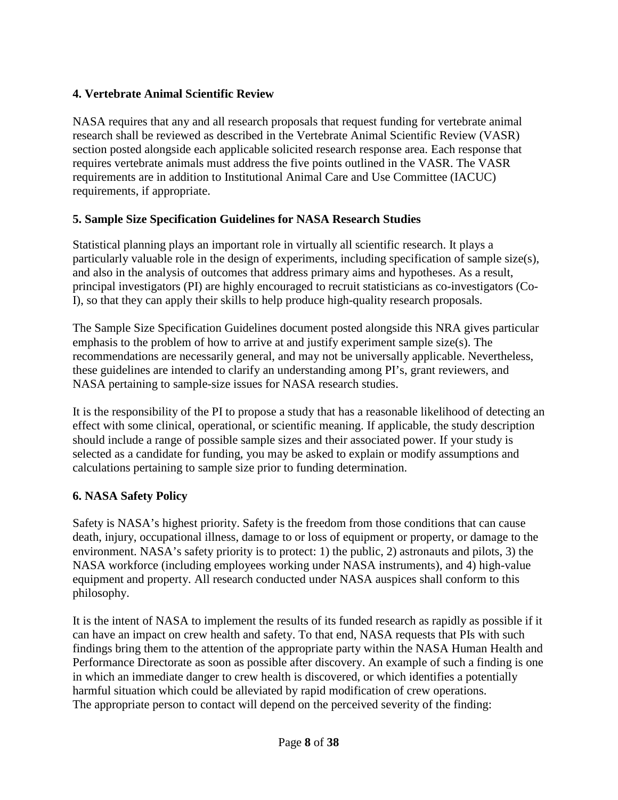#### <span id="page-7-0"></span>**4. Vertebrate Animal Scientific Review**

NASA requires that any and all research proposals that request funding for vertebrate animal research shall be reviewed as described in the Vertebrate Animal Scientific Review (VASR) section posted alongside each applicable solicited research response area. Each response that requires vertebrate animals must address the five points outlined in the VASR. The VASR requirements are in addition to Institutional Animal Care and Use Committee (IACUC) requirements, if appropriate.

#### <span id="page-7-1"></span>**5. Sample Size Specification Guidelines for NASA Research Studies**

Statistical planning plays an important role in virtually all scientific research. It plays a particularly valuable role in the design of experiments, including specification of sample size(s), and also in the analysis of outcomes that address primary aims and hypotheses. As a result, principal investigators (PI) are highly encouraged to recruit statisticians as co-investigators (Co-I), so that they can apply their skills to help produce high-quality research proposals.

The Sample Size Specification Guidelines document posted alongside this NRA gives particular emphasis to the problem of how to arrive at and justify experiment sample size(s). The recommendations are necessarily general, and may not be universally applicable. Nevertheless, these guidelines are intended to clarify an understanding among PI's, grant reviewers, and NASA pertaining to sample-size issues for NASA research studies.

It is the responsibility of the PI to propose a study that has a reasonable likelihood of detecting an effect with some clinical, operational, or scientific meaning. If applicable, the study description should include a range of possible sample sizes and their associated power. If your study is selected as a candidate for funding, you may be asked to explain or modify assumptions and calculations pertaining to sample size prior to funding determination.

## <span id="page-7-2"></span>**6. NASA Safety Policy**

Safety is NASA's highest priority. Safety is the freedom from those conditions that can cause death, injury, occupational illness, damage to or loss of equipment or property, or damage to the environment. NASA's safety priority is to protect: 1) the public, 2) astronauts and pilots, 3) the NASA workforce (including employees working under NASA instruments), and 4) high-value equipment and property. All research conducted under NASA auspices shall conform to this philosophy.

It is the intent of NASA to implement the results of its funded research as rapidly as possible if it can have an impact on crew health and safety. To that end, NASA requests that PIs with such findings bring them to the attention of the appropriate party within the NASA Human Health and Performance Directorate as soon as possible after discovery. An example of such a finding is one in which an immediate danger to crew health is discovered, or which identifies a potentially harmful situation which could be alleviated by rapid modification of crew operations. The appropriate person to contact will depend on the perceived severity of the finding: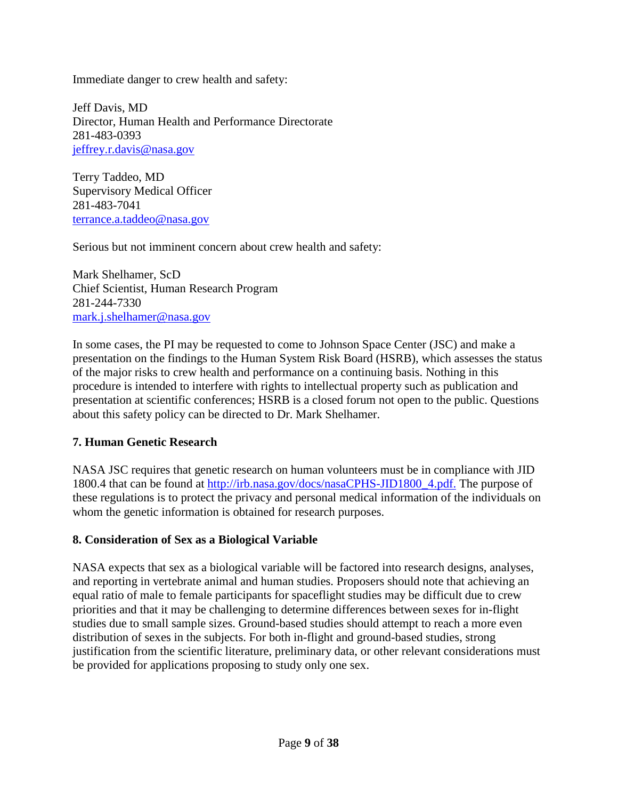Immediate danger to crew health and safety:

Jeff Davis, MD Director, Human Health and Performance Directorate 281-483-0393 jeffrey.r.davis@nasa.gov

Terry Taddeo, MD Supervisory Medical Officer 281-483-7041 terrance.a.taddeo@nasa.gov

Serious but not imminent concern about crew health and safety:

Mark Shelhamer, ScD Chief Scientist, Human Research Program 281-244-7330 [mark.j.shelhamer@nasa.gov](mailto:mark.j.shelhamer@nasa.gov)

In some cases, the PI may be requested to come to Johnson Space Center (JSC) and make a presentation on the findings to the Human System Risk Board (HSRB), which assesses the status of the major risks to crew health and performance on a continuing basis. Nothing in this procedure is intended to interfere with rights to intellectual property such as publication and presentation at scientific conferences; HSRB is a closed forum not open to the public. Questions about this safety policy can be directed to Dr. Mark Shelhamer.

#### <span id="page-8-0"></span>**7. Human Genetic Research**

NASA JSC requires that genetic research on human volunteers must be in compliance with JID 1800.4 that can be found at [http://irb.nasa.gov/docs/nasaCPHS-JID1800\\_4.pdf.](http://irb.nasa.gov/docs/nasaCPHS-JID1800_4.pdf) The purpose of these regulations is to protect the privacy and personal medical information of the individuals on whom the genetic information is obtained for research purposes.

#### <span id="page-8-1"></span>**8. Consideration of Sex as a Biological Variable**

<span id="page-8-2"></span>NASA expects that sex as a biological variable will be factored into research designs, analyses, and reporting in vertebrate animal and human studies. Proposers should note that achieving an equal ratio of male to female participants for spaceflight studies may be difficult due to crew priorities and that it may be challenging to determine differences between sexes for in-flight studies due to small sample sizes. Ground-based studies should attempt to reach a more even distribution of sexes in the subjects. For both in-flight and ground-based studies, strong justification from the scientific literature, preliminary data, or other relevant considerations must be provided for applications proposing to study only one sex.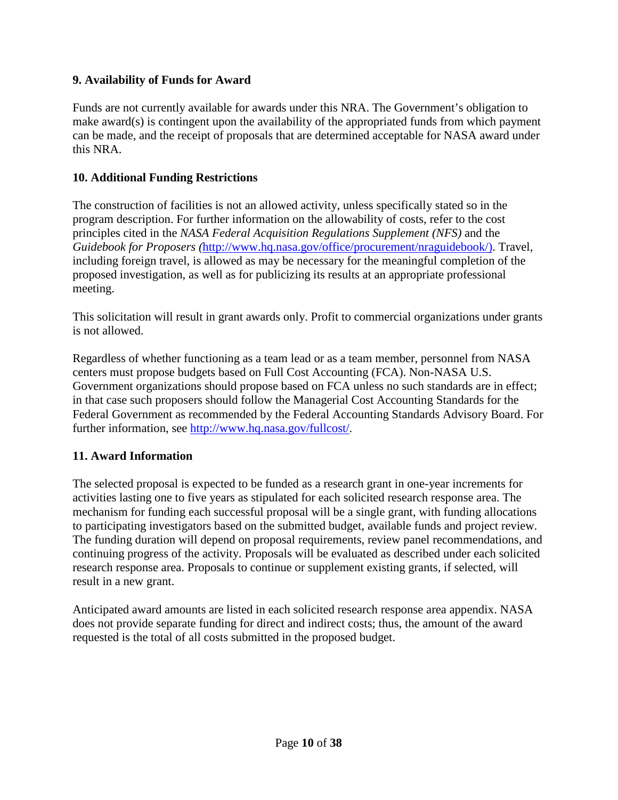#### **9. Availability of Funds for Award**

Funds are not currently available for awards under this NRA. The Government's obligation to make award(s) is contingent upon the availability of the appropriated funds from which payment can be made, and the receipt of proposals that are determined acceptable for NASA award under this NRA.

#### <span id="page-9-0"></span>**10. Additional Funding Restrictions**

The construction of facilities is not an allowed activity, unless specifically stated so in the program description. For further information on the allowability of costs, refer to the cost principles cited in the *NASA Federal Acquisition Regulations Supplement (NFS)* and the *Guidebook for Proposers (*[http://www.hq.nasa.gov/office/procurement/nraguidebook/\)](http://www.hq.nasa.gov/office/procurement/nraguidebook/). Travel, including foreign travel, is allowed as may be necessary for the meaningful completion of the proposed investigation, as well as for publicizing its results at an appropriate professional meeting.

This solicitation will result in grant awards only. Profit to commercial organizations under grants is not allowed.

Regardless of whether functioning as a team lead or as a team member, personnel from NASA centers must propose budgets based on Full Cost Accounting (FCA). Non-NASA U.S. Government organizations should propose based on FCA unless no such standards are in effect; in that case such proposers should follow the Managerial Cost Accounting Standards for the Federal Government as recommended by the Federal Accounting Standards Advisory Board. For further information, see [http://www.hq.nasa.gov/fullcost/.](http://www.hq.nasa.gov/fullcost/)

#### <span id="page-9-1"></span>**11. Award Information**

The selected proposal is expected to be funded as a research grant in one-year increments for activities lasting one to five years as stipulated for each solicited research response area. The mechanism for funding each successful proposal will be a single grant, with funding allocations to participating investigators based on the submitted budget, available funds and project review. The funding duration will depend on proposal requirements, review panel recommendations, and continuing progress of the activity. Proposals will be evaluated as described under each solicited research response area. Proposals to continue or supplement existing grants, if selected, will result in a new grant.

<span id="page-9-2"></span>Anticipated award amounts are listed in each solicited research response area appendix. NASA does not provide separate funding for direct and indirect costs; thus, the amount of the award requested is the total of all costs submitted in the proposed budget.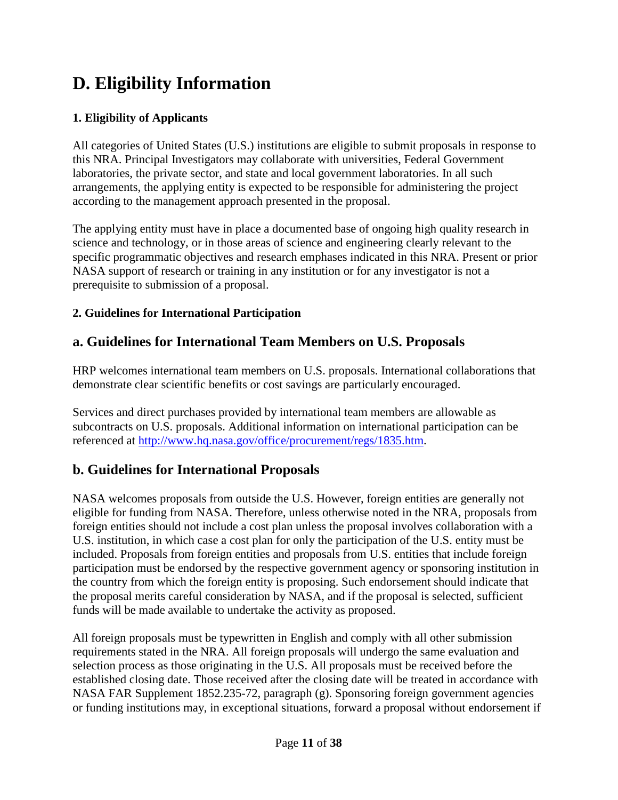# **D. Eligibility Information**

## <span id="page-10-0"></span>**1. Eligibility of Applicants**

All categories of United States (U.S.) institutions are eligible to submit proposals in response to this NRA. Principal Investigators may collaborate with universities, Federal Government laboratories, the private sector, and state and local government laboratories. In all such arrangements, the applying entity is expected to be responsible for administering the project according to the management approach presented in the proposal.

The applying entity must have in place a documented base of ongoing high quality research in science and technology, or in those areas of science and engineering clearly relevant to the specific programmatic objectives and research emphases indicated in this NRA. Present or prior NASA support of research or training in any institution or for any investigator is not a prerequisite to submission of a proposal.

#### <span id="page-10-1"></span>**2. Guidelines for International Participation**

## <span id="page-10-2"></span>**a. Guidelines for International Team Members on U.S. Proposals**

HRP welcomes international team members on U.S. proposals. International collaborations that demonstrate clear scientific benefits or cost savings are particularly encouraged.

Services and direct purchases provided by international team members are allowable as subcontracts on U.S. proposals. Additional information on international participation can be referenced at [http://www.hq.nasa.gov/office/procurement/regs/1835.htm.](http://www.hq.nasa.gov/office/procurement/regs/1835.htm)

## <span id="page-10-3"></span>**b. Guidelines for International Proposals**

NASA welcomes proposals from outside the U.S. However, foreign entities are generally not eligible for funding from NASA. Therefore, unless otherwise noted in the NRA, proposals from foreign entities should not include a cost plan unless the proposal involves collaboration with a U.S. institution, in which case a cost plan for only the participation of the U.S. entity must be included. Proposals from foreign entities and proposals from U.S. entities that include foreign participation must be endorsed by the respective government agency or sponsoring institution in the country from which the foreign entity is proposing. Such endorsement should indicate that the proposal merits careful consideration by NASA, and if the proposal is selected, sufficient funds will be made available to undertake the activity as proposed.

All foreign proposals must be typewritten in English and comply with all other submission requirements stated in the NRA. All foreign proposals will undergo the same evaluation and selection process as those originating in the U.S. All proposals must be received before the established closing date. Those received after the closing date will be treated in accordance with NASA FAR Supplement 1852.235-72, paragraph (g). Sponsoring foreign government agencies or funding institutions may, in exceptional situations, forward a proposal without endorsement if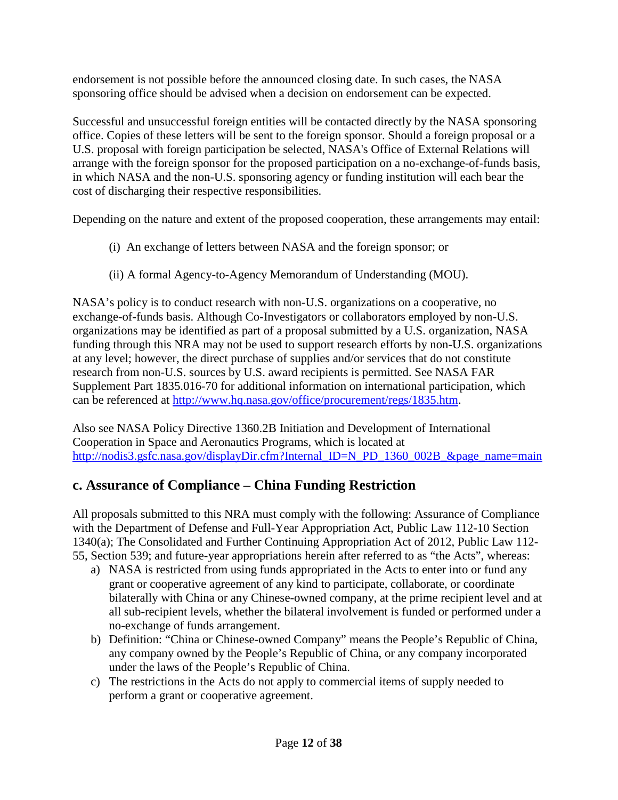endorsement is not possible before the announced closing date. In such cases, the NASA sponsoring office should be advised when a decision on endorsement can be expected.

Successful and unsuccessful foreign entities will be contacted directly by the NASA sponsoring office. Copies of these letters will be sent to the foreign sponsor. Should a foreign proposal or a U.S. proposal with foreign participation be selected, NASA's Office of External Relations will arrange with the foreign sponsor for the proposed participation on a no-exchange-of-funds basis, in which NASA and the non-U.S. sponsoring agency or funding institution will each bear the cost of discharging their respective responsibilities.

Depending on the nature and extent of the proposed cooperation, these arrangements may entail:

- (i) An exchange of letters between NASA and the foreign sponsor; or
- (ii) A formal Agency-to-Agency Memorandum of Understanding (MOU).

NASA's policy is to conduct research with non-U.S. organizations on a cooperative, no exchange-of-funds basis. Although Co-Investigators or collaborators employed by non-U.S. organizations may be identified as part of a proposal submitted by a U.S. organization, NASA funding through this NRA may not be used to support research efforts by non-U.S. organizations at any level; however, the direct purchase of supplies and/or services that do not constitute research from non-U.S. sources by U.S. award recipients is permitted. See NASA FAR Supplement Part 1835.016-70 for additional information on international participation, which can be referenced at [http://www.hq.nasa.gov/office/procurement/regs/1835.htm.](http://www.hq.nasa.gov/office/procurement/regs/1835.htm)

Also see NASA Policy Directive 1360.2B Initiation and Development of International Cooperation in Space and Aeronautics Programs, which is located at [http://nodis3.gsfc.nasa.gov/displayDir.cfm?Internal\\_ID=N\\_PD\\_1360\\_002B\\_&page\\_name=main](http://nodis3.gsfc.nasa.gov/displayDir.cfm?Internal_ID=N_PD_1360_002B_&page_name=main)

## <span id="page-11-0"></span>**c. Assurance of Compliance – China Funding Restriction**

All proposals submitted to this NRA must comply with the following: Assurance of Compliance with the Department of Defense and Full-Year Appropriation Act, Public Law 112-10 Section 1340(a); The Consolidated and Further Continuing Appropriation Act of 2012, Public Law 112- 55, Section 539; and future-year appropriations herein after referred to as "the Acts", whereas:

- a) NASA is restricted from using funds appropriated in the Acts to enter into or fund any grant or cooperative agreement of any kind to participate, collaborate, or coordinate bilaterally with China or any Chinese-owned company, at the prime recipient level and at all sub-recipient levels, whether the bilateral involvement is funded or performed under a no-exchange of funds arrangement.
- b) Definition: "China or Chinese-owned Company" means the People's Republic of China, any company owned by the People's Republic of China, or any company incorporated under the laws of the People's Republic of China.
- c) The restrictions in the Acts do not apply to commercial items of supply needed to perform a grant or cooperative agreement.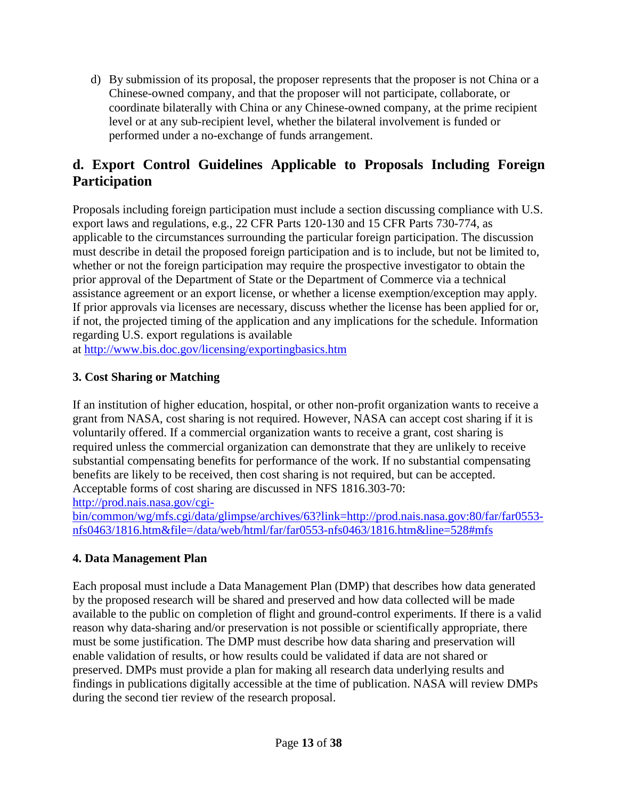d) By submission of its proposal, the proposer represents that the proposer is not China or a Chinese-owned company, and that the proposer will not participate, collaborate, or coordinate bilaterally with China or any Chinese-owned company, at the prime recipient level or at any sub-recipient level, whether the bilateral involvement is funded or performed under a no-exchange of funds arrangement.

## <span id="page-12-0"></span>**d. Export Control Guidelines Applicable to Proposals Including Foreign Participation**

Proposals including foreign participation must include a section discussing compliance with U.S. export laws and regulations, e.g., 22 CFR Parts 120-130 and 15 CFR Parts 730-774, as applicable to the circumstances surrounding the particular foreign participation. The discussion must describe in detail the proposed foreign participation and is to include, but not be limited to, whether or not the foreign participation may require the prospective investigator to obtain the prior approval of the Department of State or the Department of Commerce via a technical assistance agreement or an export license, or whether a license exemption/exception may apply. If prior approvals via licenses are necessary, discuss whether the license has been applied for or, if not, the projected timing of the application and any implications for the schedule. Information regarding U.S. export regulations is available

at <http://www.bis.doc.gov/licensing/exportingbasics.htm>

#### <span id="page-12-1"></span>**3. Cost Sharing or Matching**

If an institution of higher education, hospital, or other non-profit organization wants to receive a grant from NASA, cost sharing is not required. However, NASA can accept cost sharing if it is voluntarily offered. If a commercial organization wants to receive a grant, cost sharing is required unless the commercial organization can demonstrate that they are unlikely to receive substantial compensating benefits for performance of the work. If no substantial compensating benefits are likely to be received, then cost sharing is not required, but can be accepted. Acceptable forms of cost sharing are discussed in NFS 1816.303-70: [http://prod.nais.nasa.gov/cgi-](http://prod.nais.nasa.gov/cgi-bin/common/wg/mfs.cgi/data/glimpse/archives/63?link=http://prod.nais.nasa.gov:80/far/far0553-nfs0463/1816.htm&file=/data/web/html/far/far0553-nfs0463/1816.htm&line=528%23mfs)

[bin/common/wg/mfs.cgi/data/glimpse/archives/63?link=http://prod.nais.nasa.gov:80/far/far0553](http://prod.nais.nasa.gov/cgi-bin/common/wg/mfs.cgi/data/glimpse/archives/63?link=http://prod.nais.nasa.gov:80/far/far0553-nfs0463/1816.htm&file=/data/web/html/far/far0553-nfs0463/1816.htm&line=528%23mfs) [nfs0463/1816.htm&file=/data/web/html/far/far0553-nfs0463/1816.htm&line=528#mfs](http://prod.nais.nasa.gov/cgi-bin/common/wg/mfs.cgi/data/glimpse/archives/63?link=http://prod.nais.nasa.gov:80/far/far0553-nfs0463/1816.htm&file=/data/web/html/far/far0553-nfs0463/1816.htm&line=528%23mfs)

#### <span id="page-12-2"></span>**4. Data Management Plan**

Each proposal must include a Data Management Plan (DMP) that describes how data generated by the proposed research will be shared and preserved and how data collected will be made available to the public on completion of flight and ground-control experiments. If there is a valid reason why data-sharing and/or preservation is not possible or scientifically appropriate, there must be some justification. The DMP must describe how data sharing and preservation will enable validation of results, or how results could be validated if data are not shared or preserved. DMPs must provide a plan for making all research data underlying results and findings in publications digitally accessible at the time of publication. NASA will review DMPs during the second tier review of the research proposal.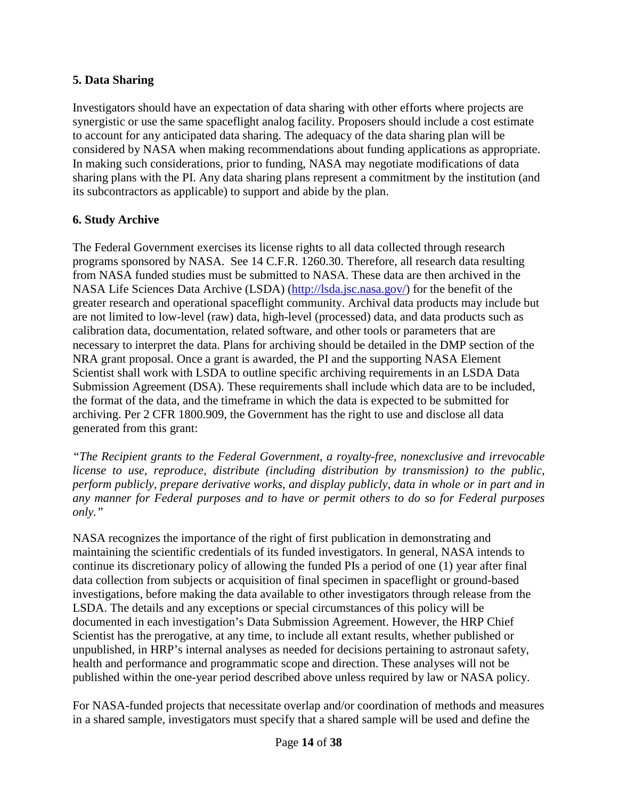#### <span id="page-13-0"></span>**5. Data Sharing**

Investigators should have an expectation of data sharing with other efforts where projects are synergistic or use the same spaceflight analog facility. Proposers should include a cost estimate to account for any anticipated data sharing. The adequacy of the data sharing plan will be considered by NASA when making recommendations about funding applications as appropriate. In making such considerations, prior to funding, NASA may negotiate modifications of data sharing plans with the PI. Any data sharing plans represent a commitment by the institution (and its subcontractors as applicable) to support and abide by the plan.

#### <span id="page-13-1"></span>**6. Study Archive**

The Federal Government exercises its license rights to all data collected through research programs sponsored by NASA. See 14 C.F.R. 1260.30. Therefore, all research data resulting from NASA funded studies must be submitted to NASA. These data are then archived in the NASA Life Sciences Data Archive (LSDA) [\(http://lsda.jsc.nasa.gov/\)](http://lsda.jsc.nasa.gov/) for the benefit of the greater research and operational spaceflight community. Archival data products may include but are not limited to low-level (raw) data, high-level (processed) data, and data products such as calibration data, documentation, related software, and other tools or parameters that are necessary to interpret the data. Plans for archiving should be detailed in the DMP section of the NRA grant proposal. Once a grant is awarded, the PI and the supporting NASA Element Scientist shall work with LSDA to outline specific archiving requirements in an LSDA Data Submission Agreement (DSA). These requirements shall include which data are to be included, the format of the data, and the timeframe in which the data is expected to be submitted for archiving. Per 2 CFR 1800.909, the Government has the right to use and disclose all data generated from this grant:

*"The Recipient grants to the Federal Government, a royalty-free, nonexclusive and irrevocable license to use, reproduce, distribute (including distribution by transmission) to the public, perform publicly, prepare derivative works, and display publicly, data in whole or in part and in any manner for Federal purposes and to have or permit others to do so for Federal purposes only."*

NASA recognizes the importance of the right of first publication in demonstrating and maintaining the scientific credentials of its funded investigators. In general, NASA intends to continue its discretionary policy of allowing the funded PIs a period of one (1) year after final data collection from subjects or acquisition of final specimen in spaceflight or ground-based investigations, before making the data available to other investigators through release from the LSDA. The details and any exceptions or special circumstances of this policy will be documented in each investigation's Data Submission Agreement. However, the HRP Chief Scientist has the prerogative, at any time, to include all extant results, whether published or unpublished, in HRP's internal analyses as needed for decisions pertaining to astronaut safety, health and performance and programmatic scope and direction. These analyses will not be published within the one-year period described above unless required by law or NASA policy.

For NASA-funded projects that necessitate overlap and/or coordination of methods and measures in a shared sample, investigators must specify that a shared sample will be used and define the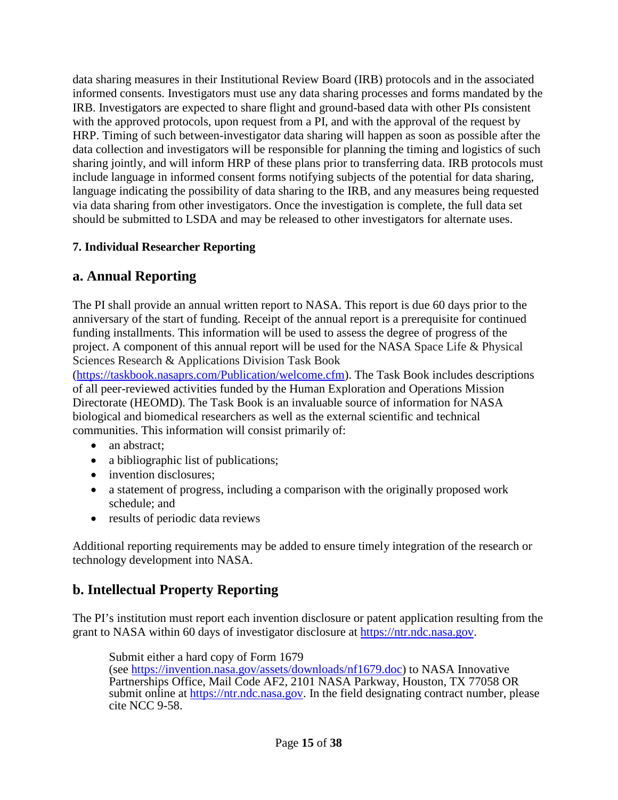data sharing measures in their Institutional Review Board (IRB) protocols and in the associated informed consents. Investigators must use any data sharing processes and forms mandated by the IRB. Investigators are expected to share flight and ground-based data with other PIs consistent with the approved protocols, upon request from a PI, and with the approval of the request by HRP. Timing of such between-investigator data sharing will happen as soon as possible after the data collection and investigators will be responsible for planning the timing and logistics of such sharing jointly, and will inform HRP of these plans prior to transferring data. IRB protocols must include language in informed consent forms notifying subjects of the potential for data sharing, language indicating the possibility of data sharing to the IRB, and any measures being requested via data sharing from other investigators. Once the investigation is complete, the full data set should be submitted to LSDA and may be released to other investigators for alternate uses.

## <span id="page-14-0"></span>**7. Individual Researcher Reporting**

## <span id="page-14-1"></span>**a. Annual Reporting**

The PI shall provide an annual written report to NASA. This report is due 60 days prior to the anniversary of the start of funding. Receipt of the annual report is a prerequisite for continued funding installments. This information will be used to assess the degree of progress of the project. A component of this annual report will be used for the NASA Space Life & Physical Sciences Research & Applications Division Task Book

[\(https://taskbook.nasaprs.com/Publication/welcome.cfm\)](https://taskbook.nasaprs.com/Publication/welcome.cfm). The Task Book includes descriptions of all peer-reviewed activities funded by the Human Exploration and Operations Mission Directorate (HEOMD). The Task Book is an invaluable source of information for NASA biological and biomedical researchers as well as the external scientific and technical communities. This information will consist primarily of:

- an abstract:
- a bibliographic list of publications;
- invention disclosures;
- a statement of progress, including a comparison with the originally proposed work schedule; and
- results of periodic data reviews

Additional reporting requirements may be added to ensure timely integration of the research or technology development into NASA.

## <span id="page-14-2"></span>**b. Intellectual Property Reporting**

The PI's institution must report each invention disclosure or patent application resulting from the grant to NASA within 60 days of investigator disclosure at [https://ntr.ndc.nasa.gov.](https://ntr.ndc.nasa.gov/)

Submit either a hard copy of Form 1679 (see [https://invention.nasa.gov/assets/downloads/nf1679.doc\)](https://invention.nasa.gov/assets/downloads/nf1679.doc) to NASA Innovative Partnerships Office, Mail Code AF2, 2101 NASA Parkway, Houston, TX 77058 OR submit online at [https://ntr.ndc.nasa.gov.](https://ntr.ndc.nasa.gov/) In the field designating contract number, please cite NCC 9-58.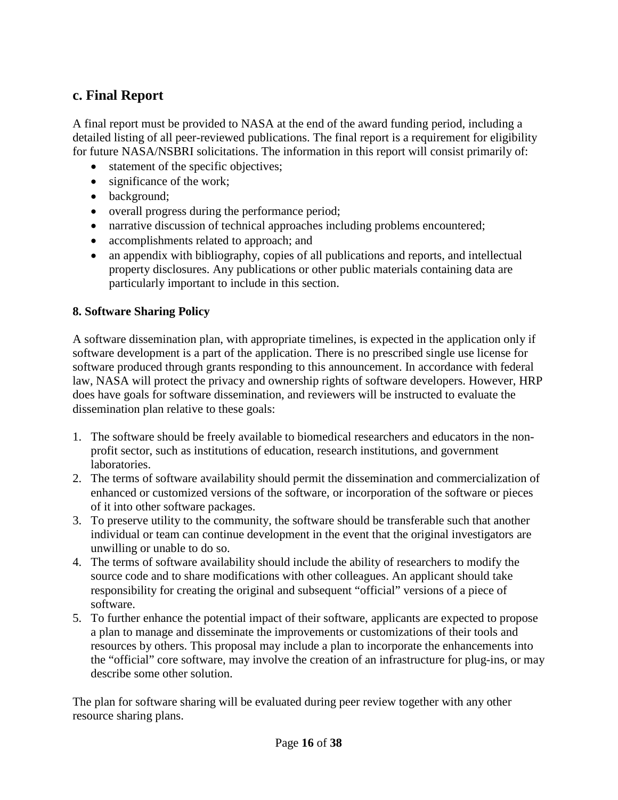## <span id="page-15-0"></span>**c. Final Report**

A final report must be provided to NASA at the end of the award funding period, including a detailed listing of all peer-reviewed publications. The final report is a requirement for eligibility for future NASA/NSBRI solicitations. The information in this report will consist primarily of:

- statement of the specific objectives;
- significance of the work;
- background;
- overall progress during the performance period;
- narrative discussion of technical approaches including problems encountered;
- accomplishments related to approach; and
- an appendix with bibliography, copies of all publications and reports, and intellectual property disclosures. Any publications or other public materials containing data are particularly important to include in this section.

#### <span id="page-15-1"></span>**8. Software Sharing Policy**

A software dissemination plan, with appropriate timelines, is expected in the application only if software development is a part of the application. There is no prescribed single use license for software produced through grants responding to this announcement. In accordance with federal law, NASA will protect the privacy and ownership rights of software developers. However, HRP does have goals for software dissemination, and reviewers will be instructed to evaluate the dissemination plan relative to these goals:

- 1. The software should be freely available to biomedical researchers and educators in the nonprofit sector, such as institutions of education, research institutions, and government laboratories.
- 2. The terms of software availability should permit the dissemination and commercialization of enhanced or customized versions of the software, or incorporation of the software or pieces of it into other software packages.
- 3. To preserve utility to the community, the software should be transferable such that another individual or team can continue development in the event that the original investigators are unwilling or unable to do so.
- 4. The terms of software availability should include the ability of researchers to modify the source code and to share modifications with other colleagues. An applicant should take responsibility for creating the original and subsequent "official" versions of a piece of software.
- 5. To further enhance the potential impact of their software, applicants are expected to propose a plan to manage and disseminate the improvements or customizations of their tools and resources by others. This proposal may include a plan to incorporate the enhancements into the "official" core software, may involve the creation of an infrastructure for plug-ins, or may describe some other solution.

The plan for software sharing will be evaluated during peer review together with any other resource sharing plans.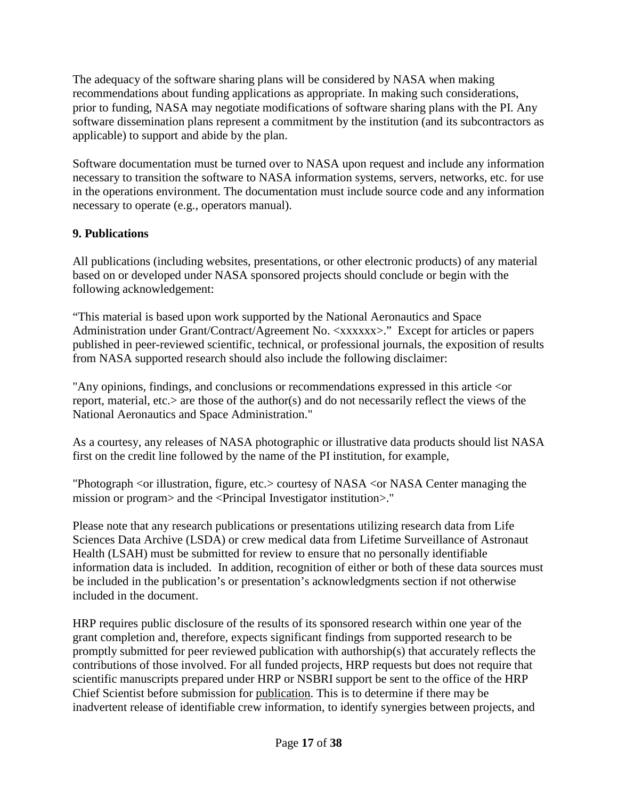The adequacy of the software sharing plans will be considered by NASA when making recommendations about funding applications as appropriate. In making such considerations, prior to funding, NASA may negotiate modifications of software sharing plans with the PI. Any software dissemination plans represent a commitment by the institution (and its subcontractors as applicable) to support and abide by the plan.

Software documentation must be turned over to NASA upon request and include any information necessary to transition the software to NASA information systems, servers, networks, etc. for use in the operations environment. The documentation must include source code and any information necessary to operate (e.g., operators manual).

## <span id="page-16-0"></span>**9. Publications**

All publications (including websites, presentations, or other electronic products) of any material based on or developed under NASA sponsored projects should conclude or begin with the following acknowledgement:

"This material is based upon work supported by the National Aeronautics and Space Administration under Grant/Contract/Agreement No. <xxxxxx>." Except for articles or papers published in peer-reviewed scientific, technical, or professional journals, the exposition of results from NASA supported research should also include the following disclaimer:

"Any opinions, findings, and conclusions or recommendations expressed in this article <or report, material, etc.> are those of the author(s) and do not necessarily reflect the views of the National Aeronautics and Space Administration."

As a courtesy, any releases of NASA photographic or illustrative data products should list NASA first on the credit line followed by the name of the PI institution, for example,

"Photograph <or illustration, figure, etc.> courtesy of NASA <or NASA Center managing the mission or program> and the <Principal Investigator institution>."

Please note that any research publications or presentations utilizing research data from Life Sciences Data Archive (LSDA) or crew medical data from Lifetime Surveillance of Astronaut Health (LSAH) must be submitted for review to ensure that no personally identifiable information data is included. In addition, recognition of either or both of these data sources must be included in the publication's or presentation's acknowledgments section if not otherwise included in the document.

HRP requires public disclosure of the results of its sponsored research within one year of the grant completion and, therefore, expects significant findings from supported research to be promptly submitted for peer reviewed publication with authorship(s) that accurately reflects the contributions of those involved. For all funded projects, HRP requests but does not require that scientific manuscripts prepared under HRP or NSBRI support be sent to the office of the HRP Chief Scientist before submission for publication. This is to determine if there may be inadvertent release of identifiable crew information, to identify synergies between projects, and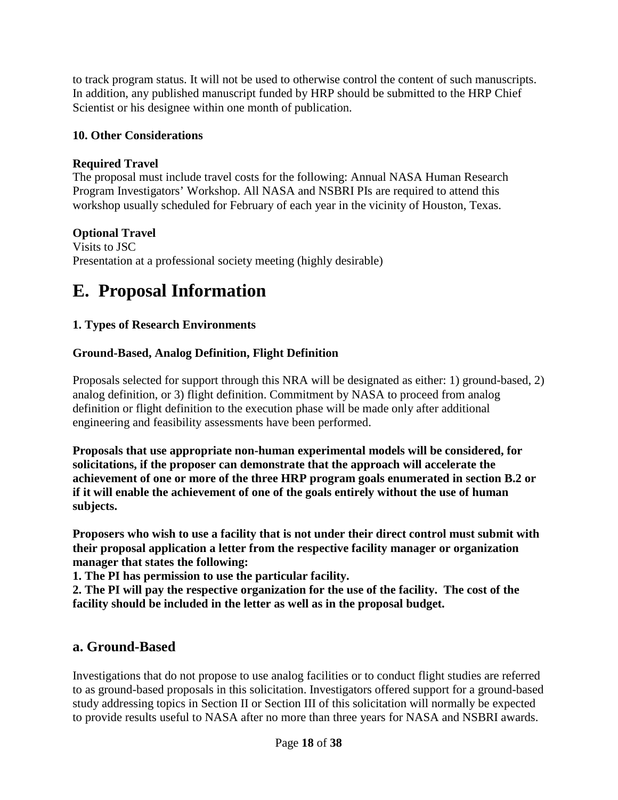to track program status. It will not be used to otherwise control the content of such manuscripts. In addition, any published manuscript funded by HRP should be submitted to the HRP Chief Scientist or his designee within one month of publication.

#### <span id="page-17-0"></span>**10. Other Considerations**

#### **Required Travel**

The proposal must include travel costs for the following: Annual NASA Human Research Program Investigators' Workshop. All NASA and NSBRI PIs are required to attend this workshop usually scheduled for February of each year in the vicinity of Houston, Texas.

#### **Optional Travel**

Visits to JSC Presentation at a professional society meeting (highly desirable)

## <span id="page-17-1"></span>**E. Proposal Information**

#### <span id="page-17-2"></span>**1. Types of Research Environments**

#### **Ground-Based, Analog Definition, Flight Definition**

Proposals selected for support through this NRA will be designated as either: 1) ground-based, 2) analog definition, or 3) flight definition. Commitment by NASA to proceed from analog definition or flight definition to the execution phase will be made only after additional engineering and feasibility assessments have been performed.

**Proposals that use appropriate non-human experimental models will be considered, for solicitations, if the proposer can demonstrate that the approach will accelerate the achievement of one or more of the three HRP program goals enumerated in section B.2 or if it will enable the achievement of one of the goals entirely without the use of human subjects.**

**Proposers who wish to use a facility that is not under their direct control must submit with their proposal application a letter from the respective facility manager or organization manager that states the following:**

**1. The PI has permission to use the particular facility.**

**2. The PI will pay the respective organization for the use of the facility. The cost of the facility should be included in the letter as well as in the proposal budget.**

## <span id="page-17-3"></span>**a. Ground-Based**

Investigations that do not propose to use analog facilities or to conduct flight studies are referred to as ground-based proposals in this solicitation. Investigators offered support for a ground-based study addressing topics in Section II or Section III of this solicitation will normally be expected to provide results useful to NASA after no more than three years for NASA and NSBRI awards.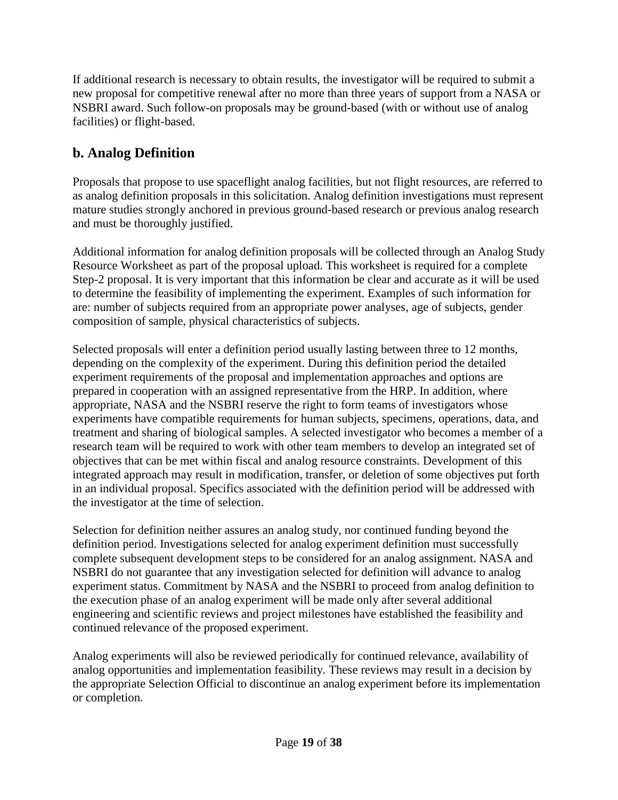If additional research is necessary to obtain results, the investigator will be required to submit a new proposal for competitive renewal after no more than three years of support from a NASA or NSBRI award. Such follow-on proposals may be ground-based (with or without use of analog facilities) or flight-based.

## <span id="page-18-0"></span>**b. Analog Definition**

Proposals that propose to use spaceflight analog facilities, but not flight resources, are referred to as analog definition proposals in this solicitation. Analog definition investigations must represent mature studies strongly anchored in previous ground-based research or previous analog research and must be thoroughly justified.

Additional information for analog definition proposals will be collected through an Analog Study Resource Worksheet as part of the proposal upload. This worksheet is required for a complete Step-2 proposal. It is very important that this information be clear and accurate as it will be used to determine the feasibility of implementing the experiment. Examples of such information for are: number of subjects required from an appropriate power analyses, age of subjects, gender composition of sample, physical characteristics of subjects.

Selected proposals will enter a definition period usually lasting between three to 12 months, depending on the complexity of the experiment. During this definition period the detailed experiment requirements of the proposal and implementation approaches and options are prepared in cooperation with an assigned representative from the HRP. In addition, where appropriate, NASA and the NSBRI reserve the right to form teams of investigators whose experiments have compatible requirements for human subjects, specimens, operations, data, and treatment and sharing of biological samples. A selected investigator who becomes a member of a research team will be required to work with other team members to develop an integrated set of objectives that can be met within fiscal and analog resource constraints. Development of this integrated approach may result in modification, transfer, or deletion of some objectives put forth in an individual proposal. Specifics associated with the definition period will be addressed with the investigator at the time of selection.

Selection for definition neither assures an analog study, nor continued funding beyond the definition period. Investigations selected for analog experiment definition must successfully complete subsequent development steps to be considered for an analog assignment. NASA and NSBRI do not guarantee that any investigation selected for definition will advance to analog experiment status. Commitment by NASA and the NSBRI to proceed from analog definition to the execution phase of an analog experiment will be made only after several additional engineering and scientific reviews and project milestones have established the feasibility and continued relevance of the proposed experiment.

Analog experiments will also be reviewed periodically for continued relevance, availability of analog opportunities and implementation feasibility. These reviews may result in a decision by the appropriate Selection Official to discontinue an analog experiment before its implementation or completion.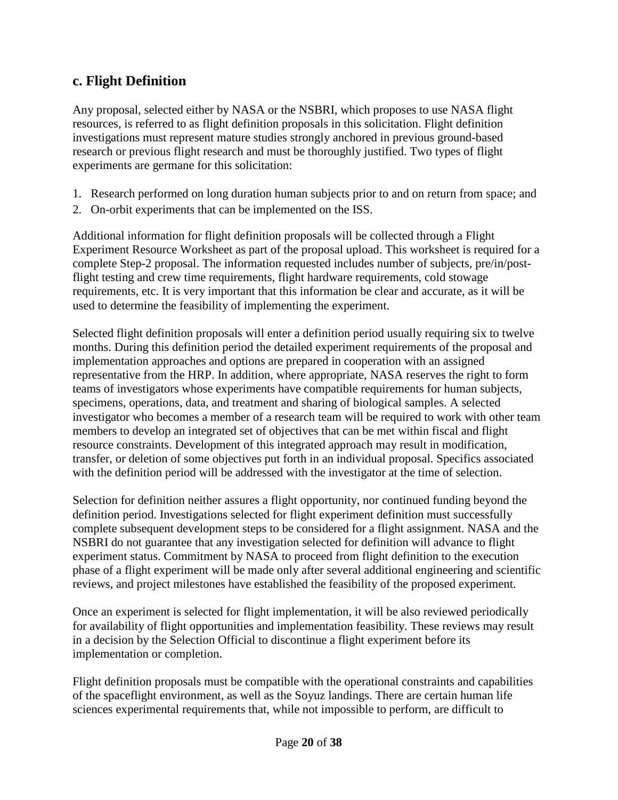## <span id="page-19-0"></span>**c. Flight Definition**

Any proposal, selected either by NASA or the NSBRI, which proposes to use NASA flight resources, is referred to as flight definition proposals in this solicitation. Flight definition investigations must represent mature studies strongly anchored in previous ground-based research or previous flight research and must be thoroughly justified. Two types of flight experiments are germane for this solicitation:

- 1. Research performed on long duration human subjects prior to and on return from space; and
- 2. On-orbit experiments that can be implemented on the ISS.

Additional information for flight definition proposals will be collected through a Flight Experiment Resource Worksheet as part of the proposal upload. This worksheet is required for a complete Step-2 proposal. The information requested includes number of subjects, pre/in/postflight testing and crew time requirements, flight hardware requirements, cold stowage requirements, etc. It is very important that this information be clear and accurate, as it will be used to determine the feasibility of implementing the experiment.

Selected flight definition proposals will enter a definition period usually requiring six to twelve months. During this definition period the detailed experiment requirements of the proposal and implementation approaches and options are prepared in cooperation with an assigned representative from the HRP. In addition, where appropriate, NASA reserves the right to form teams of investigators whose experiments have compatible requirements for human subjects, specimens, operations, data, and treatment and sharing of biological samples. A selected investigator who becomes a member of a research team will be required to work with other team members to develop an integrated set of objectives that can be met within fiscal and flight resource constraints. Development of this integrated approach may result in modification, transfer, or deletion of some objectives put forth in an individual proposal. Specifics associated with the definition period will be addressed with the investigator at the time of selection.

Selection for definition neither assures a flight opportunity, nor continued funding beyond the definition period. Investigations selected for flight experiment definition must successfully complete subsequent development steps to be considered for a flight assignment. NASA and the NSBRI do not guarantee that any investigation selected for definition will advance to flight experiment status. Commitment by NASA to proceed from flight definition to the execution phase of a flight experiment will be made only after several additional engineering and scientific reviews, and project milestones have established the feasibility of the proposed experiment.

Once an experiment is selected for flight implementation, it will be also reviewed periodically for availability of flight opportunities and implementation feasibility. These reviews may result in a decision by the Selection Official to discontinue a flight experiment before its implementation or completion.

Flight definition proposals must be compatible with the operational constraints and capabilities of the spaceflight environment, as well as the Soyuz landings. There are certain human life sciences experimental requirements that, while not impossible to perform, are difficult to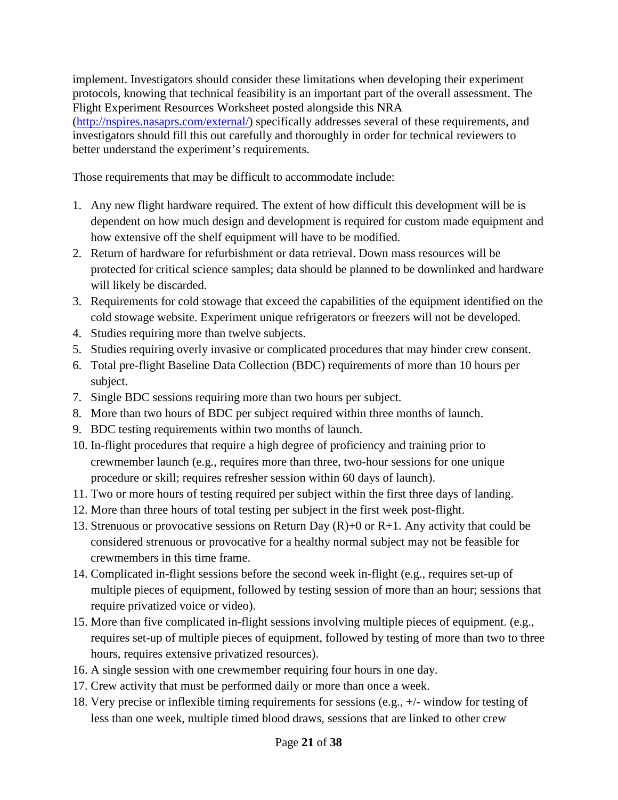implement. Investigators should consider these limitations when developing their experiment protocols, knowing that technical feasibility is an important part of the overall assessment. The Flight Experiment Resources Worksheet posted alongside this NRA [\(http://nspires.nasaprs.com/external/\)](http://nspires.nasaprs.com/external/) specifically addresses several of these requirements, and investigators should fill this out carefully and thoroughly in order for technical reviewers to better understand the experiment's requirements.

Those requirements that may be difficult to accommodate include:

- 1. Any new flight hardware required. The extent of how difficult this development will be is dependent on how much design and development is required for custom made equipment and how extensive off the shelf equipment will have to be modified.
- 2. Return of hardware for refurbishment or data retrieval. Down mass resources will be protected for critical science samples; data should be planned to be downlinked and hardware will likely be discarded.
- 3. Requirements for cold stowage that exceed the capabilities of the equipment identified on the cold stowage website. Experiment unique refrigerators or freezers will not be developed.
- 4. Studies requiring more than twelve subjects.
- 5. Studies requiring overly invasive or complicated procedures that may hinder crew consent.
- 6. Total pre-flight Baseline Data Collection (BDC) requirements of more than 10 hours per subject.
- 7. Single BDC sessions requiring more than two hours per subject.
- 8. More than two hours of BDC per subject required within three months of launch.
- 9. BDC testing requirements within two months of launch.
- 10. In-flight procedures that require a high degree of proficiency and training prior to crewmember launch (e.g., requires more than three, two-hour sessions for one unique procedure or skill; requires refresher session within 60 days of launch).
- 11. Two or more hours of testing required per subject within the first three days of landing.
- 12. More than three hours of total testing per subject in the first week post-flight.
- 13. Strenuous or provocative sessions on Return Day  $(R)+0$  or  $R+1$ . Any activity that could be considered strenuous or provocative for a healthy normal subject may not be feasible for crewmembers in this time frame.
- 14. Complicated in-flight sessions before the second week in-flight (e.g., requires set-up of multiple pieces of equipment, followed by testing session of more than an hour; sessions that require privatized voice or video).
- 15. More than five complicated in-flight sessions involving multiple pieces of equipment. (e.g., requires set-up of multiple pieces of equipment, followed by testing of more than two to three hours, requires extensive privatized resources).
- 16. A single session with one crewmember requiring four hours in one day.
- 17. Crew activity that must be performed daily or more than once a week.
- 18. Very precise or inflexible timing requirements for sessions (e.g., +/- window for testing of less than one week, multiple timed blood draws, sessions that are linked to other crew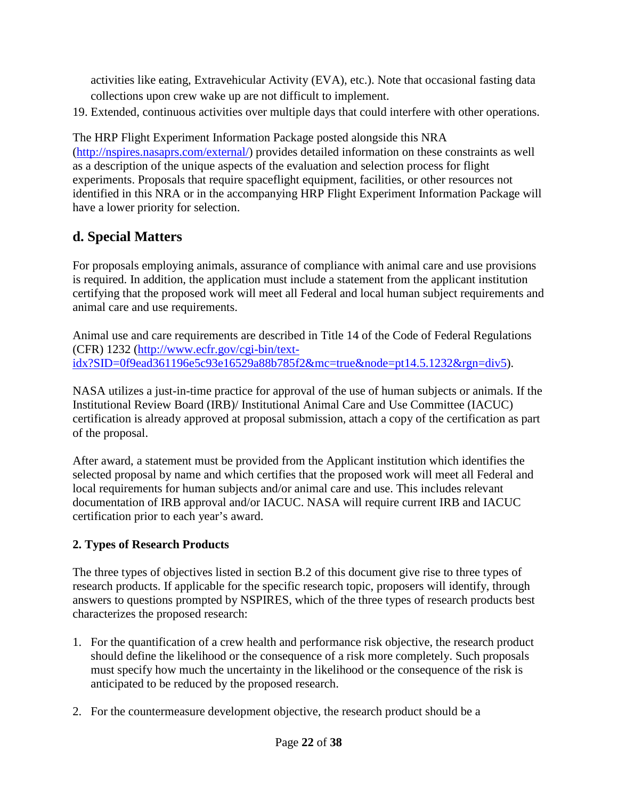activities like eating, Extravehicular Activity (EVA), etc.). Note that occasional fasting data collections upon crew wake up are not difficult to implement.

19. Extended, continuous activities over multiple days that could interfere with other operations.

The HRP Flight Experiment Information Package posted alongside this NRA [\(http://nspires.nasaprs.com/external/\)](http://nspires.nasaprs.com/external/) provides detailed information on these constraints as well as a description of the unique aspects of the evaluation and selection process for flight experiments. Proposals that require spaceflight equipment, facilities, or other resources not identified in this NRA or in the accompanying HRP Flight Experiment Information Package will have a lower priority for selection.

## <span id="page-21-0"></span>**d. Special Matters**

For proposals employing animals, assurance of compliance with animal care and use provisions is required. In addition, the application must include a statement from the applicant institution certifying that the proposed work will meet all Federal and local human subject requirements and animal care and use requirements.

Animal use and care requirements are described in Title 14 of the Code of Federal Regulations (CFR) 1232 [\(http://www.ecfr.gov/cgi-bin/text](http://www.ecfr.gov/cgi-bin/text-idx?SID=0f9ead361196e5c93e16529a88b785f2&mc=true&node=pt14.5.1232&rgn=div5)[idx?SID=0f9ead361196e5c93e16529a88b785f2&mc=true&node=pt14.5.1232&rgn=div5\)](http://www.ecfr.gov/cgi-bin/text-idx?SID=0f9ead361196e5c93e16529a88b785f2&mc=true&node=pt14.5.1232&rgn=div5).

NASA utilizes a just-in-time practice for approval of the use of human subjects or animals. If the Institutional Review Board (IRB)/ Institutional Animal Care and Use Committee (IACUC) certification is already approved at proposal submission, attach a copy of the certification as part of the proposal.

After award, a statement must be provided from the Applicant institution which identifies the selected proposal by name and which certifies that the proposed work will meet all Federal and local requirements for human subjects and/or animal care and use. This includes relevant documentation of IRB approval and/or IACUC. NASA will require current IRB and IACUC certification prior to each year's award.

## <span id="page-21-1"></span>**2. Types of Research Products**

The three types of objectives listed in section B.2 of this document give rise to three types of research products. If applicable for the specific research topic, proposers will identify, through answers to questions prompted by NSPIRES, which of the three types of research products best characterizes the proposed research:

- 1. For the quantification of a crew health and performance risk objective, the research product should define the likelihood or the consequence of a risk more completely. Such proposals must specify how much the uncertainty in the likelihood or the consequence of the risk is anticipated to be reduced by the proposed research.
- 2. For the countermeasure development objective, the research product should be a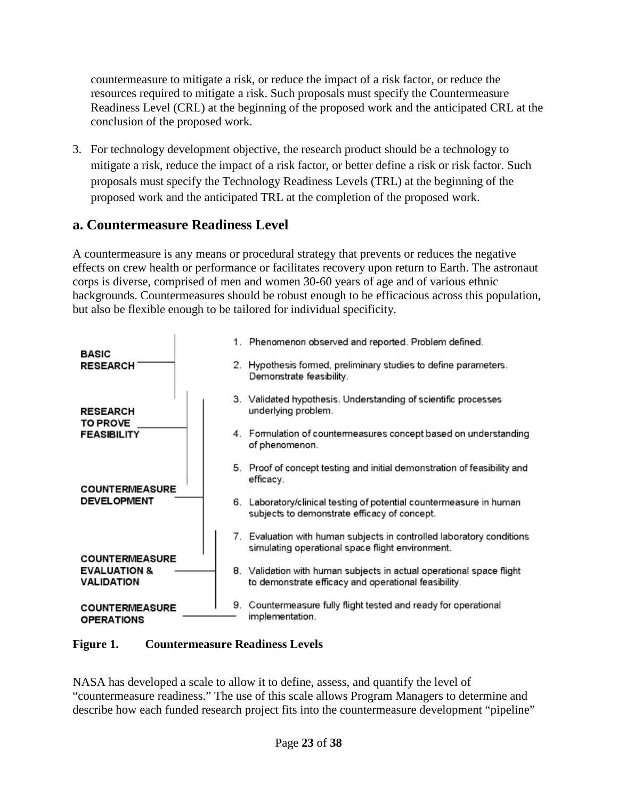countermeasure to mitigate a risk, or reduce the impact of a risk factor, or reduce the resources required to mitigate a risk. Such proposals must specify the Countermeasure Readiness Level (CRL) at the beginning of the proposed work and the anticipated CRL at the conclusion of the proposed work.

3. For technology development objective, the research product should be a technology to mitigate a risk, reduce the impact of a risk factor, or better define a risk or risk factor. Such proposals must specify the Technology Readiness Levels (TRL) at the beginning of the proposed work and the anticipated TRL at the completion of the proposed work.

## <span id="page-22-0"></span>**a. Countermeasure Readiness Level**

A countermeasure is any means or procedural strategy that prevents or reduces the negative effects on crew health or performance or facilitates recovery upon return to Earth. The astronaut corps is diverse, comprised of men and women 30-60 years of age and of various ethnic backgrounds. Countermeasures should be robust enough to be efficacious across this population, but also be flexible enough to be tailored for individual specificity.



#### **Figure 1. Countermeasure Readiness Levels**

NASA has developed a scale to allow it to define, assess, and quantify the level of "countermeasure readiness." The use of this scale allows Program Managers to determine and describe how each funded research project fits into the countermeasure development "pipeline"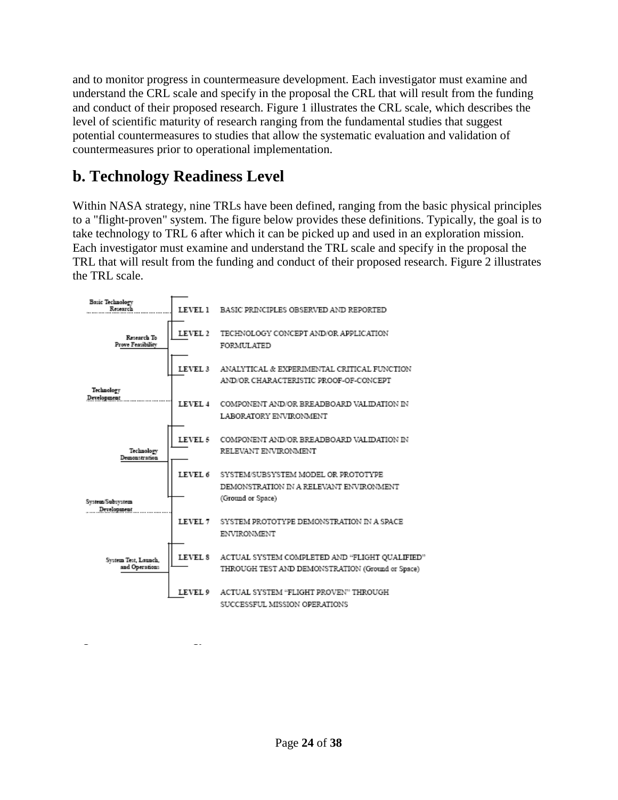and to monitor progress in countermeasure development. Each investigator must examine and understand the CRL scale and specify in the proposal the CRL that will result from the funding and conduct of their proposed research. Figure 1 illustrates the CRL scale, which describes the level of scientific maturity of research ranging from the fundamental studies that suggest potential countermeasures to studies that allow the systematic evaluation and validation of countermeasures prior to operational implementation.

## <span id="page-23-0"></span>**b. Technology Readiness Level**

<span id="page-23-1"></span>**Figure 2. Technology Readiness Levels**

Within NASA strategy, nine TRLs have been defined, ranging from the basic physical principles to a "flight-proven" system. The figure below provides these definitions. Typically, the goal is to take technology to TRL 6 after which it can be picked up and used in an exploration mission. Each investigator must examine and understand the TRL scale and specify in the proposal the TRL that will result from the funding and conduct of their proposed research. Figure 2 illustrates the TRL scale.

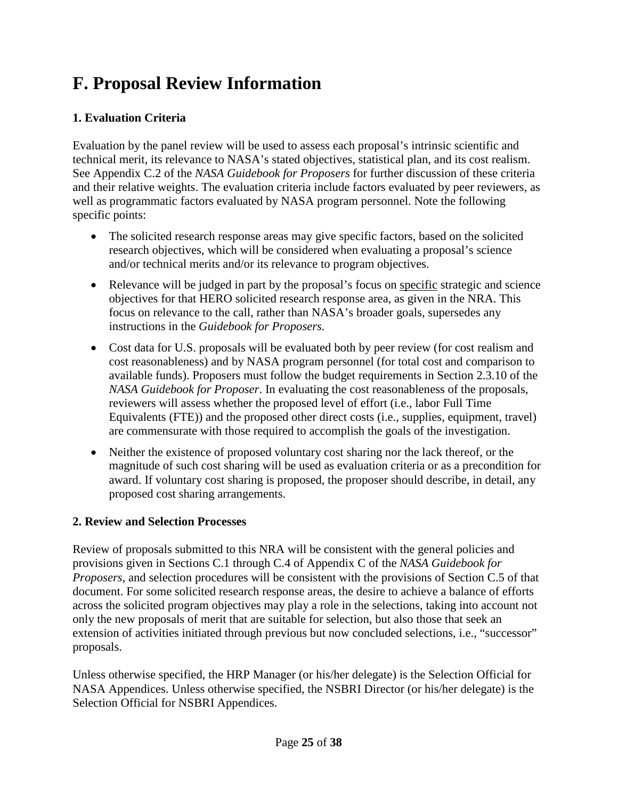# **F. Proposal Review Information**

## <span id="page-24-0"></span>**1. Evaluation Criteria**

Evaluation by the panel review will be used to assess each proposal's intrinsic scientific and technical merit, its relevance to NASA's stated objectives, statistical plan, and its cost realism. See Appendix C.2 of the *NASA Guidebook for Proposers* for further discussion of these criteria and their relative weights. The evaluation criteria include factors evaluated by peer reviewers, as well as programmatic factors evaluated by NASA program personnel. Note the following specific points:

- The solicited research response areas may give specific factors, based on the solicited research objectives, which will be considered when evaluating a proposal's science and/or technical merits and/or its relevance to program objectives.
- Relevance will be judged in part by the proposal's focus on specific strategic and science objectives for that HERO solicited research response area, as given in the NRA. This focus on relevance to the call, rather than NASA's broader goals, supersedes any instructions in the *Guidebook for Proposers.*
- Cost data for U.S. proposals will be evaluated both by peer review (for cost realism and cost reasonableness) and by NASA program personnel (for total cost and comparison to available funds). Proposers must follow the budget requirements in Section 2.3.10 of the *NASA Guidebook for Proposer*. In evaluating the cost reasonableness of the proposals, reviewers will assess whether the proposed level of effort (i.e., labor Full Time Equivalents (FTE)) and the proposed other direct costs (i.e., supplies, equipment, travel) are commensurate with those required to accomplish the goals of the investigation.
- Neither the existence of proposed voluntary cost sharing nor the lack thereof, or the magnitude of such cost sharing will be used as evaluation criteria or as a precondition for award. If voluntary cost sharing is proposed, the proposer should describe, in detail, any proposed cost sharing arrangements.

## <span id="page-24-1"></span>**2. Review and Selection Processes**

Review of proposals submitted to this NRA will be consistent with the general policies and provisions given in Sections C.1 through C.4 of Appendix C of the *NASA Guidebook for Proposers*, and selection procedures will be consistent with the provisions of Section C.5 of that document. For some solicited research response areas, the desire to achieve a balance of efforts across the solicited program objectives may play a role in the selections, taking into account not only the new proposals of merit that are suitable for selection, but also those that seek an extension of activities initiated through previous but now concluded selections, i.e., "successor" proposals.

Unless otherwise specified, the HRP Manager (or his/her delegate) is the Selection Official for NASA Appendices. Unless otherwise specified, the NSBRI Director (or his/her delegate) is the Selection Official for NSBRI Appendices.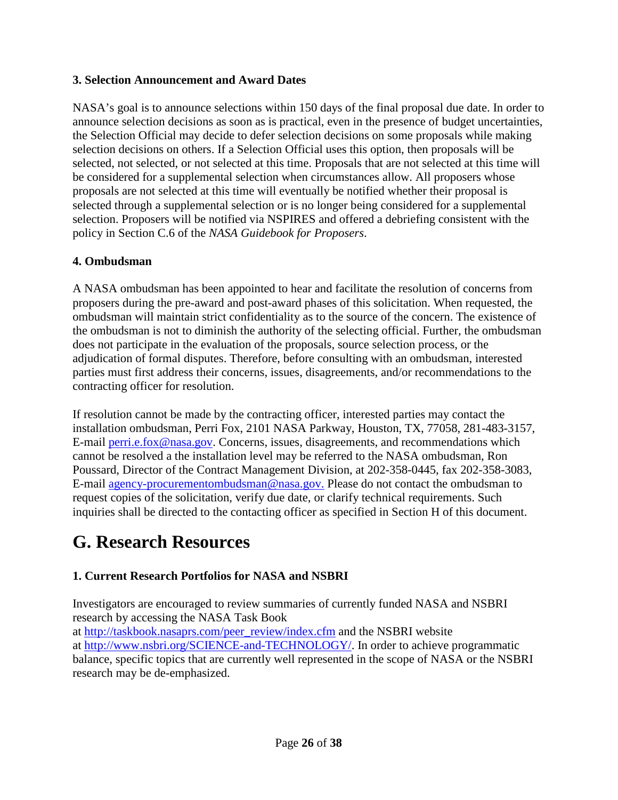#### <span id="page-25-0"></span>**3. Selection Announcement and Award Dates**

NASA's goal is to announce selections within 150 days of the final proposal due date. In order to announce selection decisions as soon as is practical, even in the presence of budget uncertainties, the Selection Official may decide to defer selection decisions on some proposals while making selection decisions on others. If a Selection Official uses this option, then proposals will be selected, not selected, or not selected at this time. Proposals that are not selected at this time will be considered for a supplemental selection when circumstances allow. All proposers whose proposals are not selected at this time will eventually be notified whether their proposal is selected through a supplemental selection or is no longer being considered for a supplemental selection. Proposers will be notified via NSPIRES and offered a debriefing consistent with the policy in Section C.6 of the *NASA Guidebook for Proposers*.

#### <span id="page-25-1"></span>**4. Ombudsman**

A NASA ombudsman has been appointed to hear and facilitate the resolution of concerns from proposers during the pre-award and post-award phases of this solicitation. When requested, the ombudsman will maintain strict confidentiality as to the source of the concern. The existence of the ombudsman is not to diminish the authority of the selecting official. Further, the ombudsman does not participate in the evaluation of the proposals, source selection process, or the adjudication of formal disputes. Therefore, before consulting with an ombudsman, interested parties must first address their concerns, issues, disagreements, and/or recommendations to the contracting officer for resolution.

If resolution cannot be made by the contracting officer, interested parties may contact the installation ombudsman, Perri Fox, 2101 NASA Parkway, Houston, TX, 77058, 281-483-3157, E-mail [perri.e.fox@nasa.gov.](mailto:perri.e.fox@nasa.gov) Concerns, issues, disagreements, and recommendations which cannot be resolved a the installation level may be referred to the NASA ombudsman, Ron Poussard, Director of the Contract Management Division, at 202-358-0445, fax 202-358-3083, E-mail [agency-procurementombudsman@nasa.gov.](mailto:agency-procurementombudsman@nasa.gov) Please do not contact the ombudsman to request copies of the solicitation, verify due date, or clarify technical requirements. Such inquiries shall be directed to the contacting officer as specified in Section H of this document.

## <span id="page-25-2"></span>**G. Research Resources**

#### <span id="page-25-3"></span>**1. Current Research Portfolios for NASA and NSBRI**

Investigators are encouraged to review summaries of currently funded NASA and NSBRI research by accessing the NASA Task Book

at [http://taskbook.nasaprs.com/peer\\_review/index.cfm](http://taskbook.nasaprs.com/peer_review/index.cfm) and the NSBRI website at [http://www.nsbri.org/SCIENCE-and-TECHNOLOGY/.](http://www.nsbri.org/SCIENCE-and-TECHNOLOGY/) In order to achieve programmatic balance, specific topics that are currently well represented in the scope of NASA or the NSBRI research may be de-emphasized.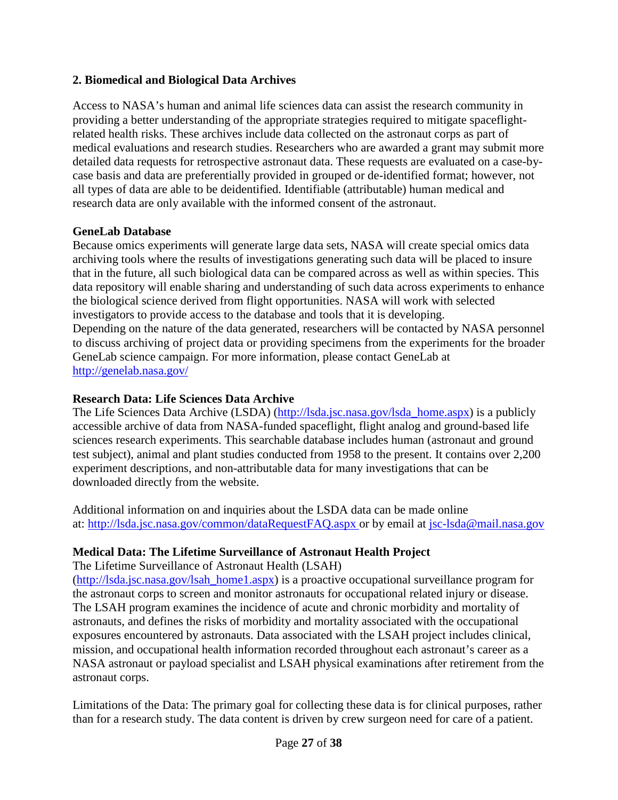#### **2. Biomedical and Biological Data Archives**

Access to NASA's human and animal life sciences data can assist the research community in providing a better understanding of the appropriate strategies required to mitigate spaceflightrelated health risks. These archives include data collected on the astronaut corps as part of medical evaluations and research studies. Researchers who are awarded a grant may submit more detailed data requests for retrospective astronaut data. These requests are evaluated on a case-bycase basis and data are preferentially provided in grouped or de-identified format; however, not all types of data are able to be deidentified. Identifiable (attributable) human medical and research data are only available with the informed consent of the astronaut.

#### **GeneLab Database**

Because omics experiments will generate large data sets, NASA will create special omics data archiving tools where the results of investigations generating such data will be placed to insure that in the future, all such biological data can be compared across as well as within species. This data repository will enable sharing and understanding of such data across experiments to enhance the biological science derived from flight opportunities. NASA will work with selected investigators to provide access to the database and tools that it is developing. Depending on the nature of the data generated, researchers will be contacted by NASA personnel to discuss archiving of project data or providing specimens from the experiments for the broader GeneLab science campaign. For more information, please contact GeneLab at <http://genelab.nasa.gov/>

#### **Research Data: Life Sciences Data Archive**

The Life Sciences Data Archive (LSDA) [\(http://lsda.jsc.nasa.gov/lsda\\_home.aspx\)](http://lsda.jsc.nasa.gov/lsda_home.aspx) is a publicly accessible archive of data from NASA-funded spaceflight, flight analog and ground-based life sciences research experiments. This searchable database includes human (astronaut and ground test subject), animal and plant studies conducted from 1958 to the present. It contains over 2,200 experiment descriptions, and non-attributable data for many investigations that can be downloaded directly from the website.

Additional information on and inquiries about the LSDA data can be made online at:<http://lsda.jsc.nasa.gov/common/dataRequestFAQ.aspx> or by email at [jsc-lsda@mail.nasa.gov](mailto:jsc-lsda@mail.nasa.gov) 

#### **Medical Data: The Lifetime Surveillance of Astronaut Health Project**

The Lifetime Surveillance of Astronaut Health (LSAH)

[\(http://lsda.jsc.nasa.gov/lsah\\_home1.aspx\)](http://lsda.jsc.nasa.gov/lsah_home1.aspx) is a proactive occupational surveillance program for the astronaut corps to screen and monitor astronauts for occupational related injury or disease. The LSAH program examines the incidence of acute and chronic morbidity and mortality of astronauts, and defines the risks of morbidity and mortality associated with the occupational exposures encountered by astronauts. Data associated with the LSAH project includes clinical, mission, and occupational health information recorded throughout each astronaut's career as a NASA astronaut or payload specialist and LSAH physical examinations after retirement from the astronaut corps.

Limitations of the Data: The primary goal for collecting these data is for clinical purposes, rather than for a research study. The data content is driven by crew surgeon need for care of a patient.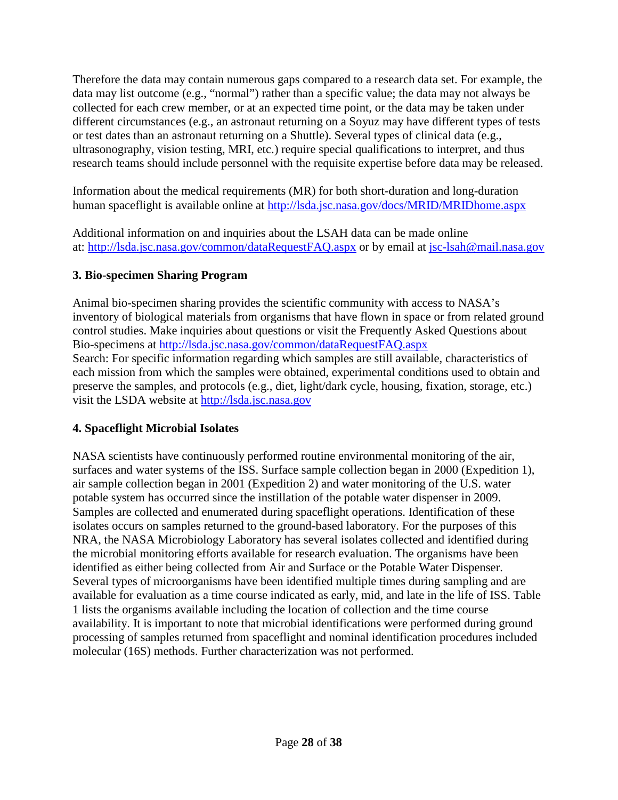Therefore the data may contain numerous gaps compared to a research data set. For example, the data may list outcome (e.g., "normal") rather than a specific value; the data may not always be collected for each crew member, or at an expected time point, or the data may be taken under different circumstances (e.g., an astronaut returning on a Soyuz may have different types of tests or test dates than an astronaut returning on a Shuttle). Several types of clinical data (e.g., ultrasonography, vision testing, MRI, etc.) require special qualifications to interpret, and thus research teams should include personnel with the requisite expertise before data may be released.

Information about the medical requirements (MR) for both short-duration and long-duration human spaceflight is available online at<http://lsda.jsc.nasa.gov/docs/MRID/MRIDhome.aspx>

Additional information on and inquiries about the LSAH data can be made online at:<http://lsda.jsc.nasa.gov/common/dataRequestFAQ.aspx> or by email at [jsc-lsah@mail.nasa.gov](mailto:jsc-lsah@mail.nasa.gov)

## <span id="page-27-0"></span>**3. Bio-specimen Sharing Program**

Animal bio-specimen sharing provides the scientific community with access to NASA's inventory of biological materials from organisms that have flown in space or from related ground control studies. Make inquiries about questions or visit the Frequently Asked Questions about Bio-specimens at<http://lsda.jsc.nasa.gov/common/dataRequestFAQ.aspx> Search: For specific information regarding which samples are still available, characteristics of each mission from which the samples were obtained, experimental conditions used to obtain and preserve the samples, and protocols (e.g., diet, light/dark cycle, housing, fixation, storage, etc.) visit the LSDA website at [http://lsda.jsc.nasa.gov](http://lsda.jsc.nasa.gov/) 

## <span id="page-27-1"></span>**4. Spaceflight Microbial Isolates**

NASA scientists have continuously performed routine environmental monitoring of the air, surfaces and water systems of the ISS. Surface sample collection began in 2000 (Expedition 1), air sample collection began in 2001 (Expedition 2) and water monitoring of the U.S. water potable system has occurred since the instillation of the potable water dispenser in 2009. Samples are collected and enumerated during spaceflight operations. Identification of these isolates occurs on samples returned to the ground-based laboratory. For the purposes of this NRA, the NASA Microbiology Laboratory has several isolates collected and identified during the microbial monitoring efforts available for research evaluation. The organisms have been identified as either being collected from Air and Surface or the Potable Water Dispenser. Several types of microorganisms have been identified multiple times during sampling and are available for evaluation as a time course indicated as early, mid, and late in the life of ISS. Table 1 lists the organisms available including the location of collection and the time course availability. It is important to note that microbial identifications were performed during ground processing of samples returned from spaceflight and nominal identification procedures included molecular (16S) methods. Further characterization was not performed.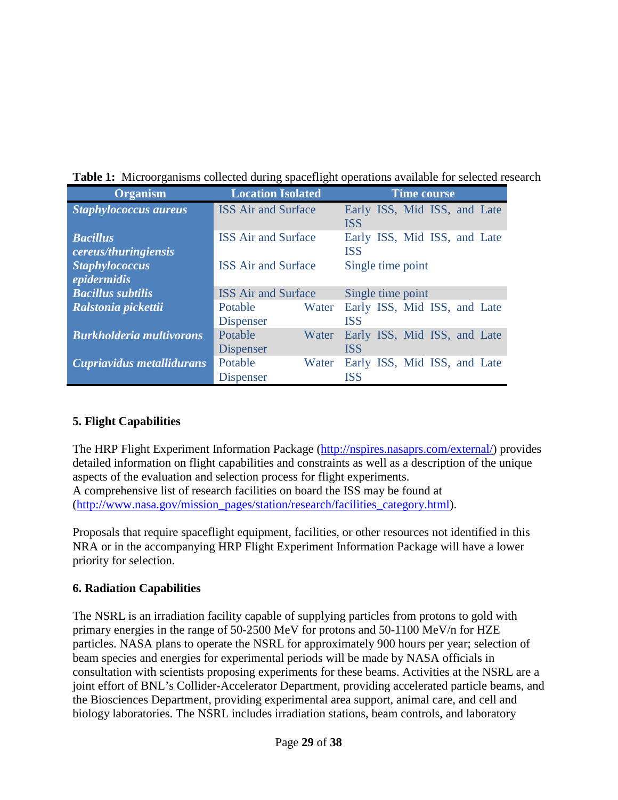|  |  |  |  |  |  | Table 1: Microorganisms collected during spaceflight operations available for selected research |  |
|--|--|--|--|--|--|-------------------------------------------------------------------------------------------------|--|
|--|--|--|--|--|--|-------------------------------------------------------------------------------------------------|--|

| <b>Organism</b>                 | <b>Location Isolated</b><br><b>Time course</b> |       |                              |                              |  |  |
|---------------------------------|------------------------------------------------|-------|------------------------------|------------------------------|--|--|
| <b>Staphylococcus aureus</b>    | <b>ISS Air and Surface</b>                     |       |                              | Early ISS, Mid ISS, and Late |  |  |
|                                 |                                                |       | <b>ISS</b>                   |                              |  |  |
| <b>Bacillus</b>                 | <b>ISS</b> Air and Surface                     |       |                              | Early ISS, Mid ISS, and Late |  |  |
| cereus/thuringiensis            |                                                |       | <b>ISS</b>                   |                              |  |  |
| <b>Staphylococcus</b>           | <b>ISS</b> Air and Surface                     |       | Single time point            |                              |  |  |
| epidermidis                     |                                                |       |                              |                              |  |  |
| <b>Bacillus subtilis</b>        | <b>ISS Air and Surface</b>                     |       | Single time point            |                              |  |  |
| Ralstonia pickettii             | Potable                                        | Water | Early ISS, Mid ISS, and Late |                              |  |  |
|                                 | <b>Dispenser</b>                               |       | <b>ISS</b>                   |                              |  |  |
| <b>Burkholderia multivorans</b> | Potable                                        | Water | Early ISS, Mid ISS, and Late |                              |  |  |
|                                 | <b>Dispenser</b>                               |       | <b>ISS</b>                   |                              |  |  |
| Cupriavidus metallidurans       | Potable                                        | Water | Early ISS, Mid ISS, and Late |                              |  |  |
|                                 | <b>Dispenser</b>                               |       | <b>ISS</b>                   |                              |  |  |

## <span id="page-28-0"></span>**5. Flight Capabilities**

The HRP Flight Experiment Information Package [\(http://nspires.nasaprs.com/external/\)](http://nspires.nasaprs.com/external/) provides detailed information on flight capabilities and constraints as well as a description of the unique aspects of the evaluation and selection process for flight experiments. A comprehensive list of research facilities on board the ISS may be found at [\(http://www.nasa.gov/mission\\_pages/station/research/facilities\\_category.html\)](http://www.nasa.gov/mission_pages/station/research/facilities_category.html).

Proposals that require spaceflight equipment, facilities, or other resources not identified in this NRA or in the accompanying HRP Flight Experiment Information Package will have a lower priority for selection.

## <span id="page-28-1"></span>**6. Radiation Capabilities**

The NSRL is an irradiation facility capable of supplying particles from protons to gold with primary energies in the range of 50-2500 MeV for protons and 50-1100 MeV/n for HZE particles. NASA plans to operate the NSRL for approximately 900 hours per year; selection of beam species and energies for experimental periods will be made by NASA officials in consultation with scientists proposing experiments for these beams. Activities at the NSRL are a joint effort of BNL's Collider-Accelerator Department, providing accelerated particle beams, and the Biosciences Department, providing experimental area support, animal care, and cell and biology laboratories. The NSRL includes irradiation stations, beam controls, and laboratory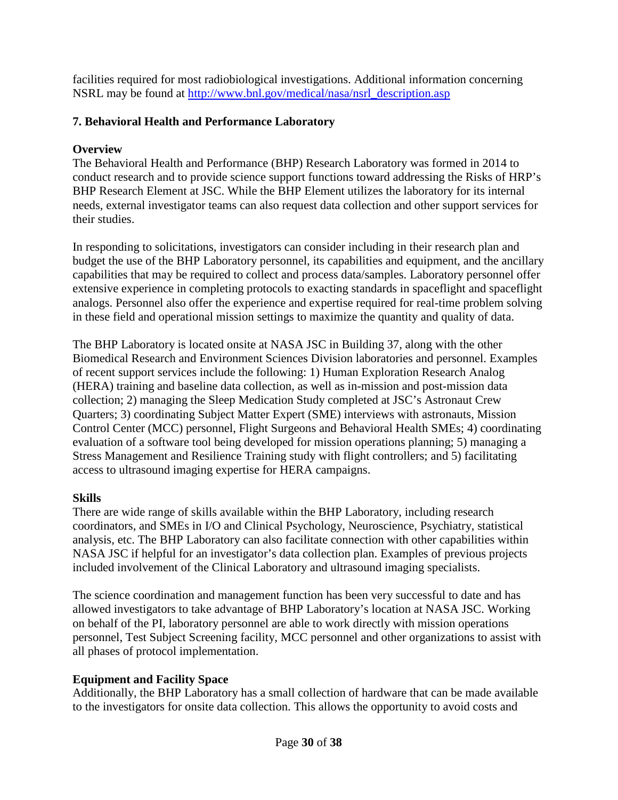facilities required for most radiobiological investigations. Additional information concerning NSRL may be found at [http://www.bnl.gov/medical/nasa/nsrl\\_description.asp](http://www.bnl.gov/medical/nasa/nsrl_description.asp)

#### <span id="page-29-0"></span>**7. Behavioral Health and Performance Laboratory**

#### **Overview**

The Behavioral Health and Performance (BHP) Research Laboratory was formed in 2014 to conduct research and to provide science support functions toward addressing the Risks of HRP's BHP Research Element at JSC. While the BHP Element utilizes the laboratory for its internal needs, external investigator teams can also request data collection and other support services for their studies.

In responding to solicitations, investigators can consider including in their research plan and budget the use of the BHP Laboratory personnel, its capabilities and equipment, and the ancillary capabilities that may be required to collect and process data/samples. Laboratory personnel offer extensive experience in completing protocols to exacting standards in spaceflight and spaceflight analogs. Personnel also offer the experience and expertise required for real-time problem solving in these field and operational mission settings to maximize the quantity and quality of data.

The BHP Laboratory is located onsite at NASA JSC in Building 37, along with the other Biomedical Research and Environment Sciences Division laboratories and personnel. Examples of recent support services include the following: 1) Human Exploration Research Analog (HERA) training and baseline data collection, as well as in-mission and post-mission data collection; 2) managing the Sleep Medication Study completed at JSC's Astronaut Crew Quarters; 3) coordinating Subject Matter Expert (SME) interviews with astronauts, Mission Control Center (MCC) personnel, Flight Surgeons and Behavioral Health SMEs; 4) coordinating evaluation of a software tool being developed for mission operations planning; 5) managing a Stress Management and Resilience Training study with flight controllers; and 5) facilitating access to ultrasound imaging expertise for HERA campaigns.

## **Skills**

There are wide range of skills available within the BHP Laboratory, including research coordinators, and SMEs in I/O and Clinical Psychology, Neuroscience, Psychiatry, statistical analysis, etc. The BHP Laboratory can also facilitate connection with other capabilities within NASA JSC if helpful for an investigator's data collection plan. Examples of previous projects included involvement of the Clinical Laboratory and ultrasound imaging specialists.

The science coordination and management function has been very successful to date and has allowed investigators to take advantage of BHP Laboratory's location at NASA JSC. Working on behalf of the PI, laboratory personnel are able to work directly with mission operations personnel, Test Subject Screening facility, MCC personnel and other organizations to assist with all phases of protocol implementation.

## **Equipment and Facility Space**

Additionally, the BHP Laboratory has a small collection of hardware that can be made available to the investigators for onsite data collection. This allows the opportunity to avoid costs and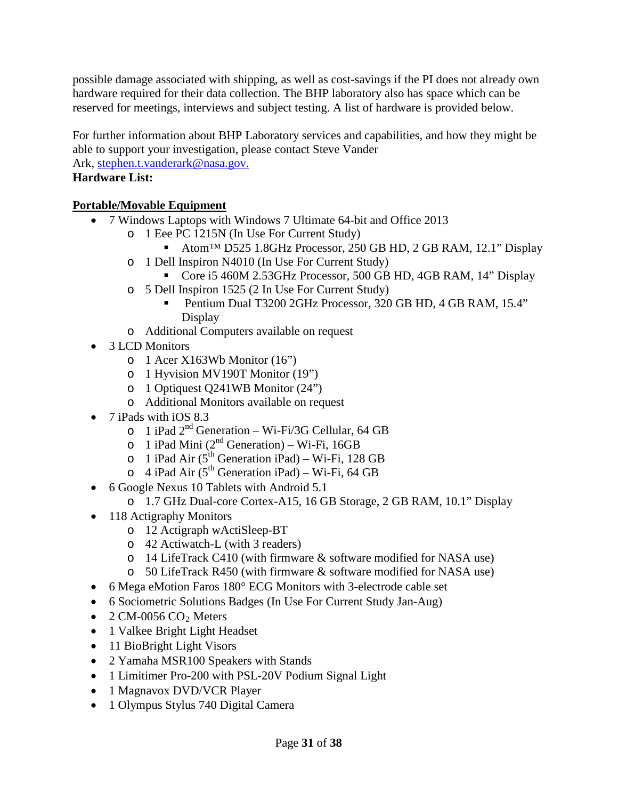possible damage associated with shipping, as well as cost-savings if the PI does not already own hardware required for their data collection. The BHP laboratory also has space which can be reserved for meetings, interviews and subject testing. A list of hardware is provided below.

For further information about BHP Laboratory services and capabilities, and how they might be able to support your investigation, please contact Steve Vander

Ark, [stephen.t.vanderark@nasa.gov.](mailto:stephen.t.vanderark@nasa.gov)

#### **Hardware List:**

#### **Portable/Movable Equipment**

- 7 Windows Laptops with Windows 7 Ultimate 64-bit and Office 2013
	- o 1 Eee PC 1215N (In Use For Current Study)
		- Atom<sup>™</sup> D525 1.8GHz Processor, 250 GB HD, 2 GB RAM, 12.1" Display
	- o 1 Dell Inspiron N4010 (In Use For Current Study)
		- Core i5 460M 2.53GHz Processor, 500 GB HD, 4GB RAM, 14" Display
	- o 5 Dell Inspiron 1525 (2 In Use For Current Study)
		- Pentium Dual T3200 2GHz Processor, 320 GB HD, 4 GB RAM, 15.4" Display
	- o Additional Computers available on request
- 3 LCD Monitors
	- o 1 Acer X163Wb Monitor (16")
	- o 1 Hyvision MV190T Monitor (19")
	- o 1 Optiquest Q241WB Monitor (24")
	- o Additional Monitors available on request
- 7 iPads with iOS 8.3
	- $\circ$  1 iPad 2<sup>nd</sup> Generation Wi-Fi/3G Cellular, 64 GB
	- o 1 iPad Mini  $(2^{nd}$  Generation) Wi-Fi, 16GB
	- o 1 iPad Air ( $5^{th}$  Generation iPad) Wi-Fi, 128 GB
	- $\circ$  4 iPad Air (5<sup>th</sup> Generation iPad) Wi-Fi, 64 GB
- 6 Google Nexus 10 Tablets with Android 5.1
	- o 1.7 GHz Dual-core Cortex-A15, 16 GB Storage, 2 GB RAM, 10.1" Display
- 118 Actigraphy Monitors
	- o 12 Actigraph wActiSleep-BT
	- o 42 Actiwatch-L (with 3 readers)
	- o 14 LifeTrack C410 (with firmware & software modified for NASA use)
	- o 50 LifeTrack R450 (with firmware & software modified for NASA use)
- 6 Mega eMotion Faros 180° ECG Monitors with 3-electrode cable set
- 6 Sociometric Solutions Badges (In Use For Current Study Jan-Aug)
- 2 CM-0056  $CO<sub>2</sub>$  Meters
- 1 Valkee Bright Light Headset
- 11 BioBright Light Visors
- 2 Yamaha MSR100 Speakers with Stands
- 1 Limitimer Pro-200 with PSL-20V Podium Signal Light
- 1 Magnavox DVD/VCR Player
- 1 Olympus Stylus 740 Digital Camera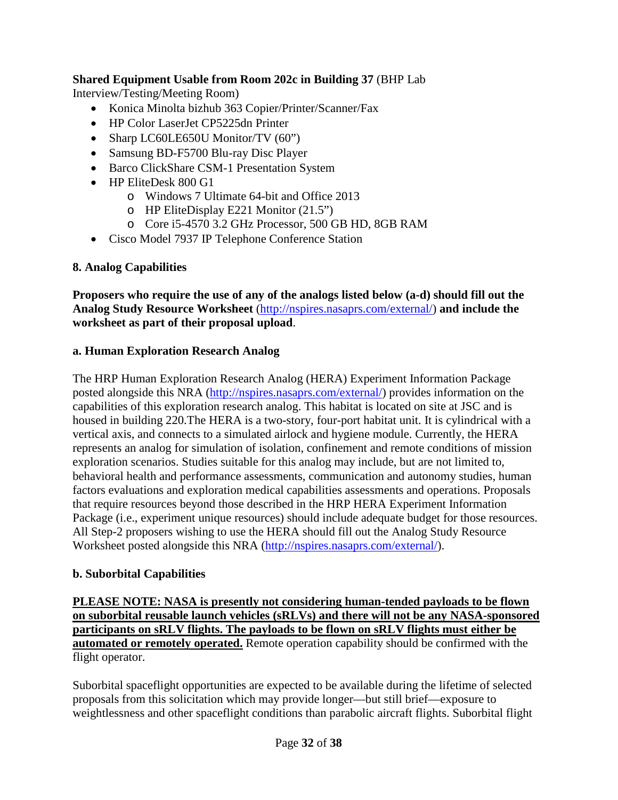## **Shared Equipment Usable from Room 202c in Building 37** (BHP Lab

Interview/Testing/Meeting Room)

- Konica Minolta bizhub 363 Copier/Printer/Scanner/Fax
- HP Color LaserJet CP5225dn Printer
- Sharp LC60LE650U Monitor/TV (60")
- Samsung BD-F5700 Blu-ray Disc Player
- Barco ClickShare CSM-1 Presentation System
- HP EliteDesk 800 G1
	- o Windows 7 Ultimate 64-bit and Office 2013
	- o HP EliteDisplay E221 Monitor (21.5")
	- o Core i5-4570 3.2 GHz Processor, 500 GB HD, 8GB RAM
- Cisco Model 7937 IP Telephone Conference Station

#### <span id="page-31-0"></span>**8. Analog Capabilities**

**Proposers who require the use of any of the analogs listed below (a-d) should fill out the Analog Study Resource Worksheet** [\(http://nspires.nasaprs.com/external/\)](http://nspires.nasaprs.com/external/) **and include the worksheet as part of their proposal upload**.

#### <span id="page-31-1"></span>**a. Human Exploration Research Analog**

The HRP Human Exploration Research Analog (HERA) Experiment Information Package posted alongside this NRA [\(http://nspires.nasaprs.com/external/\)](http://nspires.nasaprs.com/external/) provides information on the capabilities of this exploration research analog. This habitat is located on site at JSC and is housed in building 220.The HERA is a two-story, four-port habitat unit. It is cylindrical with a vertical axis, and connects to a simulated airlock and hygiene module. Currently, the HERA represents an analog for simulation of isolation, confinement and remote conditions of mission exploration scenarios. Studies suitable for this analog may include, but are not limited to, behavioral health and performance assessments, communication and autonomy studies, human factors evaluations and exploration medical capabilities assessments and operations. Proposals that require resources beyond those described in the HRP HERA Experiment Information Package (i.e., experiment unique resources) should include adequate budget for those resources. All Step-2 proposers wishing to use the HERA should fill out the Analog Study Resource Worksheet posted alongside this NRA [\(http://nspires.nasaprs.com/external/\)](http://nspires.nasaprs.com/external/).

#### <span id="page-31-2"></span>**b. Suborbital Capabilities**

**PLEASE NOTE: NASA is presently not considering human-tended payloads to be flown on suborbital reusable launch vehicles (sRLVs) and there will not be any NASA-sponsored participants on sRLV flights. The payloads to be flown on sRLV flights must either be automated or remotely operated.** Remote operation capability should be confirmed with the flight operator.

Suborbital spaceflight opportunities are expected to be available during the lifetime of selected proposals from this solicitation which may provide longer—but still brief—exposure to weightlessness and other spaceflight conditions than parabolic aircraft flights. Suborbital flight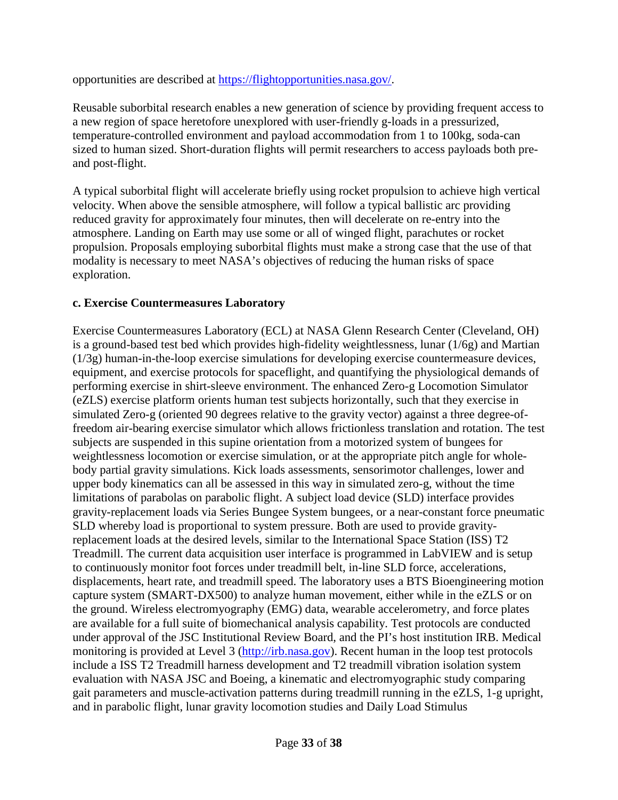opportunities are described at [https://flightopportunities.nasa.gov/.](https://flightopportunities.nasa.gov/)

Reusable suborbital research enables a new generation of science by providing frequent access to a new region of space heretofore unexplored with user-friendly g-loads in a pressurized, temperature-controlled environment and payload accommodation from 1 to 100kg, soda-can sized to human sized. Short-duration flights will permit researchers to access payloads both preand post-flight.

A typical suborbital flight will accelerate briefly using rocket propulsion to achieve high vertical velocity. When above the sensible atmosphere, will follow a typical ballistic arc providing reduced gravity for approximately four minutes, then will decelerate on re-entry into the atmosphere. Landing on Earth may use some or all of winged flight, parachutes or rocket propulsion. Proposals employing suborbital flights must make a strong case that the use of that modality is necessary to meet NASA's objectives of reducing the human risks of space exploration.

#### <span id="page-32-0"></span>**c. Exercise Countermeasures Laboratory**

Exercise Countermeasures Laboratory (ECL) at NASA Glenn Research Center (Cleveland, OH) is a ground-based test bed which provides high-fidelity weightlessness, lunar (1/6g) and Martian (1/3g) human-in-the-loop exercise simulations for developing exercise countermeasure devices, equipment, and exercise protocols for spaceflight, and quantifying the physiological demands of performing exercise in shirt-sleeve environment. The enhanced Zero-g Locomotion Simulator (eZLS) exercise platform orients human test subjects horizontally, such that they exercise in simulated Zero-g (oriented 90 degrees relative to the gravity vector) against a three degree-offreedom air-bearing exercise simulator which allows frictionless translation and rotation. The test subjects are suspended in this supine orientation from a motorized system of bungees for weightlessness locomotion or exercise simulation, or at the appropriate pitch angle for wholebody partial gravity simulations. Kick loads assessments, sensorimotor challenges, lower and upper body kinematics can all be assessed in this way in simulated zero-g, without the time limitations of parabolas on parabolic flight. A subject load device (SLD) interface provides gravity-replacement loads via Series Bungee System bungees, or a near-constant force pneumatic SLD whereby load is proportional to system pressure. Both are used to provide gravityreplacement loads at the desired levels, similar to the International Space Station (ISS) T2 Treadmill. The current data acquisition user interface is programmed in LabVIEW and is setup to continuously monitor foot forces under treadmill belt, in-line SLD force, accelerations, displacements, heart rate, and treadmill speed. The laboratory uses a BTS Bioengineering motion capture system (SMART-DX500) to analyze human movement, either while in the eZLS or on the ground. Wireless electromyography (EMG) data, wearable accelerometry, and force plates are available for a full suite of biomechanical analysis capability. Test protocols are conducted under approval of the JSC Institutional Review Board, and the PI's host institution IRB. Medical monitoring is provided at Level 3 [\(http://irb.nasa.gov\)](http://irb.nasa.gov/). Recent human in the loop test protocols include a ISS T2 Treadmill harness development and T2 treadmill vibration isolation system evaluation with NASA JSC and Boeing, a kinematic and electromyographic study comparing gait parameters and muscle-activation patterns during treadmill running in the eZLS, 1-g upright, and in parabolic flight, lunar gravity locomotion studies and Daily Load Stimulus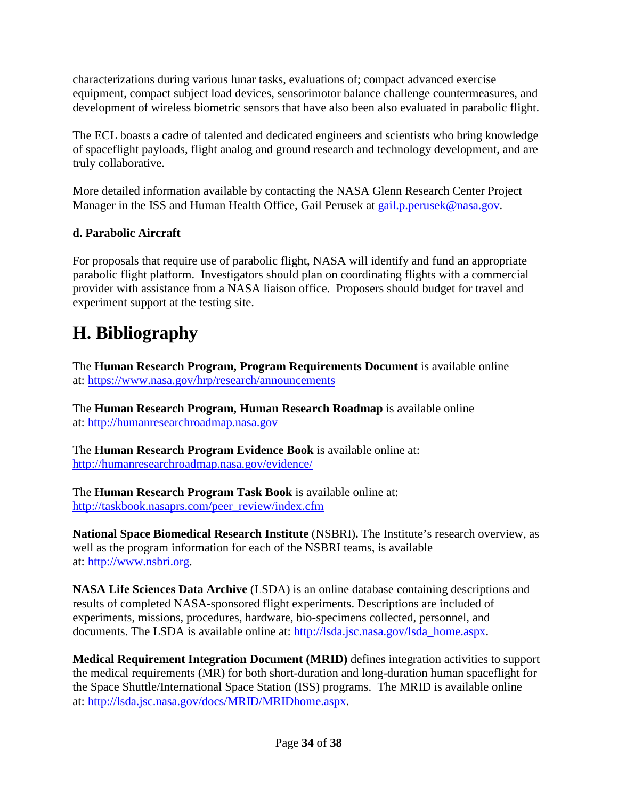characterizations during various lunar tasks, evaluations of; compact advanced exercise equipment, compact subject load devices, sensorimotor balance challenge countermeasures, and development of wireless biometric sensors that have also been also evaluated in parabolic flight.

The ECL boasts a cadre of talented and dedicated engineers and scientists who bring knowledge of spaceflight payloads, flight analog and ground research and technology development, and are truly collaborative.

More detailed information available by contacting the NASA Glenn Research Center Project Manager in the ISS and Human Health Office, Gail Perusek at [gail.p.perusek@nasa.gov.](mailto:gail.p.perusek@nasa.gov)

## <span id="page-33-0"></span>**d. Parabolic Aircraft**

For proposals that require use of parabolic flight, NASA will identify and fund an appropriate parabolic flight platform. Investigators should plan on coordinating flights with a commercial provider with assistance from a NASA liaison office. Proposers should budget for travel and experiment support at the testing site.

# <span id="page-33-1"></span>**H. Bibliography**

The **Human Research Program, Program Requirements Document** is available online at:<https://www.nasa.gov/hrp/research/announcements>

The **Human Research Program, Human Research Roadmap** is available online at: [http://humanresearchroadmap.nasa.gov](http://humanresearchroadmap.nasa.gov/)

The **Human Research Program Evidence Book** is available online at: <http://humanresearchroadmap.nasa.gov/evidence/>

The **Human Research Program Task Book** is available online at: [http://taskbook.nasaprs.com/peer\\_review/index.cfm](http://taskbook.nasaprs.com/peer_review/index.cfm)

**National Space Biomedical Research Institute** (NSBRI)**.** The Institute's research overview, as well as the program information for each of the NSBRI teams, is available at: [http://www.nsbri.org.](http://www.nsbri.org/)

**NASA Life Sciences Data Archive** (LSDA) is an online database containing descriptions and results of completed NASA-sponsored flight experiments. Descriptions are included of experiments, missions, procedures, hardware, bio-specimens collected, personnel, and documents. The LSDA is available online at: [http://lsda.jsc.nasa.gov/lsda\\_home.aspx.](http://lsda.jsc.nasa.gov/lsda_home.aspx)

**Medical Requirement Integration Document (MRID)** defines integration activities to support the medical requirements (MR) for both short-duration and long-duration human spaceflight for the Space Shuttle/International Space Station (ISS) programs. The MRID is available online at: [http://lsda.jsc.nasa.gov/docs/MRID/MRIDhome.aspx.](http://lsda.jsc.nasa.gov/docs/MRID/MRIDhome.aspx)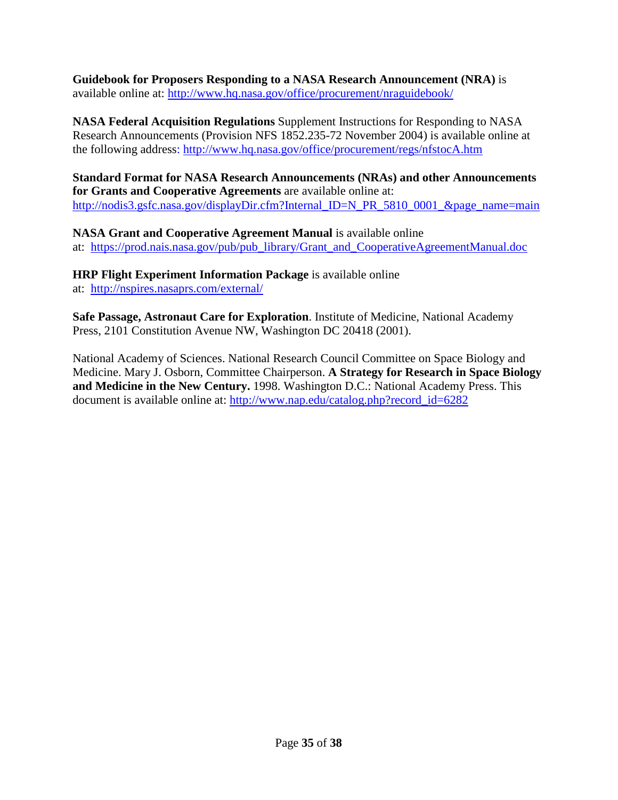**Guidebook for Proposers Responding to a NASA Research Announcement (NRA)** is available online at: <http://www.hq.nasa.gov/office/procurement/nraguidebook/>

**NASA Federal Acquisition Regulations** Supplement Instructions for Responding to NASA Research Announcements (Provision NFS 1852.235-72 November 2004) is available online at the following address:<http://www.hq.nasa.gov/office/procurement/regs/nfstocA.htm>

**Standard Format for NASA Research Announcements (NRAs) and other Announcements for Grants and Cooperative Agreements** are available online at: [http://nodis3.gsfc.nasa.gov/displayDir.cfm?Internal\\_ID=N\\_PR\\_5810\\_0001\\_&page\\_name=main](http://nodis3.gsfc.nasa.gov/displayDir.cfm?Internal_ID=N_PR_5810_0001_&page_name=main)

**NASA Grant and Cooperative Agreement Manual** is available online at: [https://prod.nais.nasa.gov/pub/pub\\_library/Grant\\_and\\_CooperativeAgreementManual.doc](https://prod.nais.nasa.gov/pub/pub_library/Grant_and_CooperativeAgreementManual.doc)

**HRP Flight Experiment Information Package** is available online at: <http://nspires.nasaprs.com/external/>

**Safe Passage, Astronaut Care for Exploration**. Institute of Medicine, National Academy Press, 2101 Constitution Avenue NW, Washington DC 20418 (2001).

National Academy of Sciences. National Research Council Committee on Space Biology and Medicine. Mary J. Osborn, Committee Chairperson. **A Strategy for Research in Space Biology and Medicine in the New Century.** 1998. Washington D.C.: National Academy Press. This document is available online at: [http://www.nap.edu/catalog.php?record\\_id=6282](http://www.nap.edu/catalog.php?record_id=6282)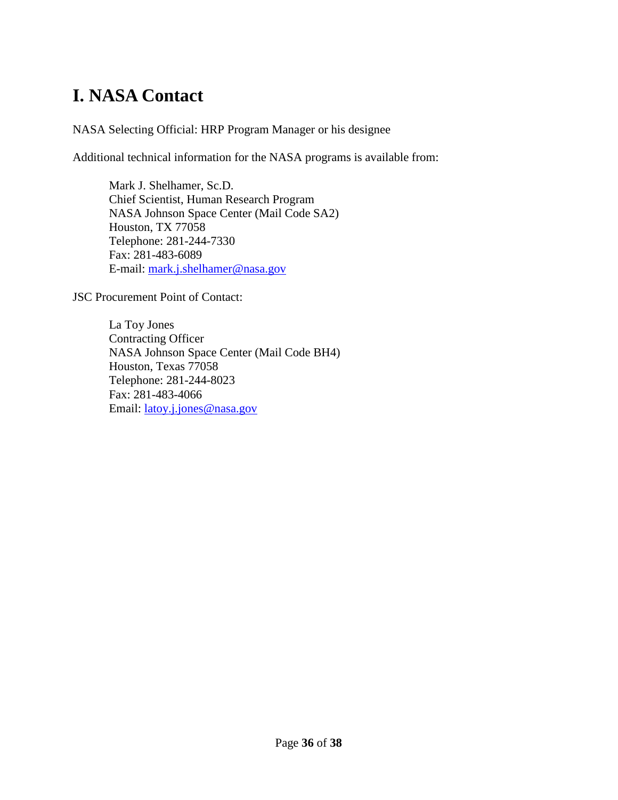# <span id="page-35-0"></span>**I. NASA Contact**

NASA Selecting Official: HRP Program Manager or his designee

Additional technical information for the NASA programs is available from:

Mark J. Shelhamer, Sc.D. Chief Scientist, Human Research Program NASA Johnson Space Center (Mail Code SA2) Houston, TX 77058 Telephone: 281-244-7330 Fax: 281-483-6089 E-mail: [mark.j.shelhamer@nasa.gov](mailto:mark.j.shelhamer@nasa.gov)

JSC Procurement Point of Contact:

La Toy Jones Contracting Officer NASA Johnson Space Center (Mail Code BH4) Houston, Texas 77058 Telephone: 281-244-8023 Fax: 281-483-4066 Email: [latoy.j.jones@nasa.gov](mailto:latoy.j.jones@nasa.gov)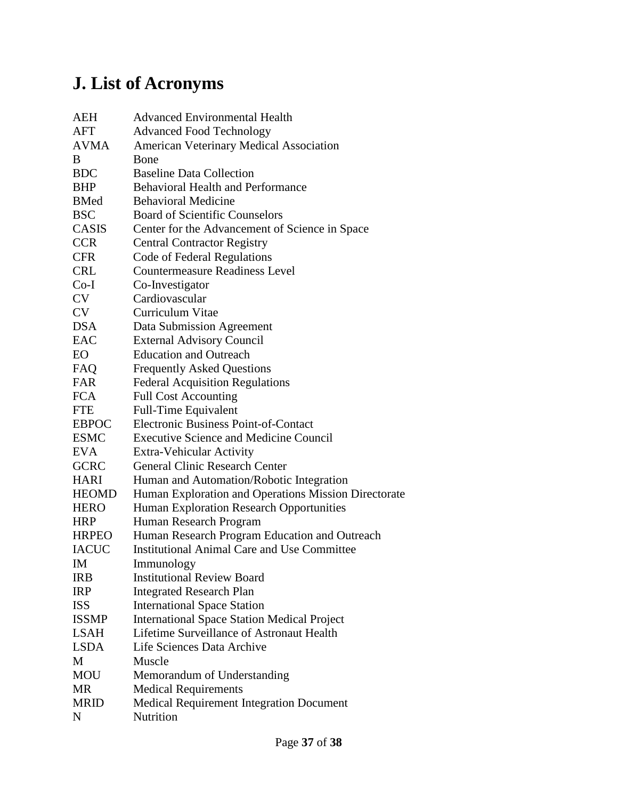# <span id="page-36-0"></span>**J. List of Acronyms**

| AEH          | <b>Advanced Environmental Health</b>                 |
|--------------|------------------------------------------------------|
| AFT          | <b>Advanced Food Technology</b>                      |
| <b>AVMA</b>  | <b>American Veterinary Medical Association</b>       |
| В            | Bone                                                 |
| <b>BDC</b>   | <b>Baseline Data Collection</b>                      |
| BHP          | <b>Behavioral Health and Performance</b>             |
| <b>BMed</b>  | <b>Behavioral Medicine</b>                           |
| <b>BSC</b>   | <b>Board of Scientific Counselors</b>                |
| <b>CASIS</b> | Center for the Advancement of Science in Space       |
| <b>CCR</b>   | <b>Central Contractor Registry</b>                   |
| <b>CFR</b>   | Code of Federal Regulations                          |
| <b>CRL</b>   | <b>Countermeasure Readiness Level</b>                |
| $Co-I$       | Co-Investigator                                      |
| CV           | Cardiovascular                                       |
| CV           | Curriculum Vitae                                     |
| DSA          | Data Submission Agreement                            |
| <b>EAC</b>   | <b>External Advisory Council</b>                     |
| EО           | <b>Education and Outreach</b>                        |
| FAQ          | <b>Frequently Asked Questions</b>                    |
| FAR          | <b>Federal Acquisition Regulations</b>               |
| <b>FCA</b>   | <b>Full Cost Accounting</b>                          |
| FTE          | <b>Full-Time Equivalent</b>                          |
| EBPOC        | <b>Electronic Business Point-of-Contact</b>          |
| <b>ESMC</b>  | <b>Executive Science and Medicine Council</b>        |
| EVA          | Extra-Vehicular Activity                             |
| <b>GCRC</b>  | <b>General Clinic Research Center</b>                |
| HARI         | Human and Automation/Robotic Integration             |
| <b>HEOMD</b> | Human Exploration and Operations Mission Directorate |
| HERO         | Human Exploration Research Opportunities             |
| <b>HRP</b>   | Human Research Program                               |
| <b>HRPEO</b> | Human Research Program Education and Outreach        |
| <b>IACUC</b> | <b>Institutional Animal Care and Use Committee</b>   |
| ΙM           | Immunology                                           |
| IRB          | <b>Institutional Review Board</b>                    |
| <b>IRP</b>   | <b>Integrated Research Plan</b>                      |
| <b>ISS</b>   | <b>International Space Station</b>                   |
| <b>ISSMP</b> | <b>International Space Station Medical Project</b>   |
| LSAH         | Lifetime Surveillance of Astronaut Health            |
| LSDA         | Life Sciences Data Archive                           |
| М            | Muscle                                               |
| <b>MOU</b>   | Memorandum of Understanding                          |
| MR           | <b>Medical Requirements</b>                          |
| MRID         | <b>Medical Requirement Integration Document</b>      |
| N            | Nutrition                                            |
|              |                                                      |